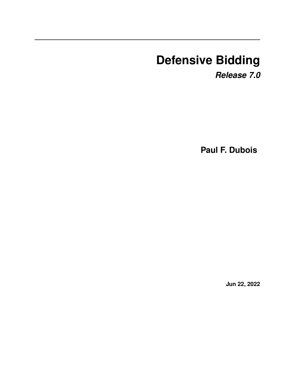# **Defensive Bidding**

*Release 7.0*

**Paul F. Dubois**

**Jun 22, 2022**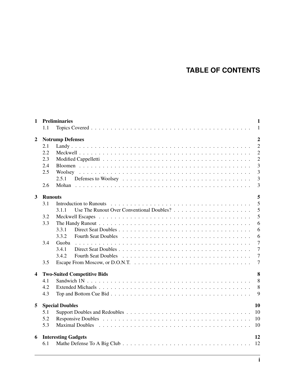## **TABLE OF CONTENTS**

| $\mathbf{1}$ | 1.1                                       | <b>Preliminaries</b>                                                                                                                                                                                                           | $\mathbf{1}$<br>-1 |  |  |  |  |  |
|--------------|-------------------------------------------|--------------------------------------------------------------------------------------------------------------------------------------------------------------------------------------------------------------------------------|--------------------|--|--|--|--|--|
| 2            | $\overline{2}$<br><b>Notrump Defenses</b> |                                                                                                                                                                                                                                |                    |  |  |  |  |  |
|              | 2.1                                       |                                                                                                                                                                                                                                | $\overline{2}$     |  |  |  |  |  |
|              | 2.2                                       |                                                                                                                                                                                                                                | $\overline{2}$     |  |  |  |  |  |
|              | 2.3                                       |                                                                                                                                                                                                                                | $\overline{2}$     |  |  |  |  |  |
|              | 2.4                                       |                                                                                                                                                                                                                                | $\overline{3}$     |  |  |  |  |  |
|              | 2.5                                       |                                                                                                                                                                                                                                | $\overline{3}$     |  |  |  |  |  |
|              |                                           | 2.5.1                                                                                                                                                                                                                          | 3                  |  |  |  |  |  |
|              | 2.6                                       |                                                                                                                                                                                                                                | 3                  |  |  |  |  |  |
| $\mathbf{3}$ | <b>Runouts</b>                            |                                                                                                                                                                                                                                | 5                  |  |  |  |  |  |
|              | 3.1                                       |                                                                                                                                                                                                                                | $\overline{5}$     |  |  |  |  |  |
|              |                                           | 3.1.1                                                                                                                                                                                                                          | 5                  |  |  |  |  |  |
|              | 3.2                                       |                                                                                                                                                                                                                                | 5                  |  |  |  |  |  |
|              | 3.3                                       |                                                                                                                                                                                                                                | 6                  |  |  |  |  |  |
|              |                                           | 3.3.1                                                                                                                                                                                                                          | 6                  |  |  |  |  |  |
|              |                                           | 3.3.2                                                                                                                                                                                                                          | 6                  |  |  |  |  |  |
|              | 3.4                                       | Guoba                                                                                                                                                                                                                          | $\overline{7}$     |  |  |  |  |  |
|              |                                           | 3.4.1                                                                                                                                                                                                                          | $\overline{7}$     |  |  |  |  |  |
|              |                                           | 3.4.2                                                                                                                                                                                                                          | $\overline{7}$     |  |  |  |  |  |
|              | 3.5                                       |                                                                                                                                                                                                                                | $\overline{7}$     |  |  |  |  |  |
| 4            |                                           |                                                                                                                                                                                                                                | 8                  |  |  |  |  |  |
|              | 4.1                                       | <b>Two-Suited Competitive Bids</b>                                                                                                                                                                                             | 8                  |  |  |  |  |  |
|              | 4.2                                       |                                                                                                                                                                                                                                | 8                  |  |  |  |  |  |
|              | 4.3                                       |                                                                                                                                                                                                                                | 9                  |  |  |  |  |  |
|              |                                           |                                                                                                                                                                                                                                |                    |  |  |  |  |  |
| 5            |                                           | <b>Special Doubles</b>                                                                                                                                                                                                         | 10                 |  |  |  |  |  |
|              | 5.1                                       | <sup>10</sup>                                                                                                                                                                                                                  |                    |  |  |  |  |  |
|              | 5.2                                       |                                                                                                                                                                                                                                |                    |  |  |  |  |  |
|              | 5.3                                       | Maximal Doubles entering the contract of the contract of the contract of the contract of the contract of the contract of the contract of the contract of the contract of the contract of the contract of the contract of the c |                    |  |  |  |  |  |
| 6            |                                           | <b>Interesting Gadgets</b>                                                                                                                                                                                                     | 12                 |  |  |  |  |  |
|              | 6.1                                       |                                                                                                                                                                                                                                |                    |  |  |  |  |  |
|              |                                           |                                                                                                                                                                                                                                |                    |  |  |  |  |  |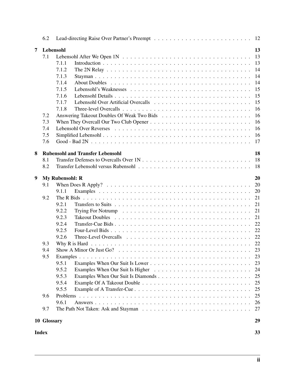|   | 6.2          |                                                                                                                 |    |
|---|--------------|-----------------------------------------------------------------------------------------------------------------|----|
| 7 |              | Lebensohl                                                                                                       | 13 |
|   | 7.1          |                                                                                                                 | 13 |
|   |              | 7.1.1                                                                                                           | 13 |
|   |              | 7.1.2                                                                                                           | 14 |
|   |              | 7.1.3                                                                                                           | 14 |
|   |              | 7.1.4                                                                                                           | 14 |
|   |              | 7.1.5                                                                                                           | 15 |
|   |              | 7.1.6                                                                                                           | 15 |
|   |              | 7.1.7                                                                                                           | 15 |
|   |              | 7.1.8                                                                                                           | 16 |
|   | 7.2          |                                                                                                                 | 16 |
|   | 7.3          |                                                                                                                 | 16 |
|   | 7.4          |                                                                                                                 | 16 |
|   | 7.5          |                                                                                                                 | 16 |
|   | 7.6          |                                                                                                                 | 17 |
|   |              |                                                                                                                 |    |
| 8 |              | <b>Rubensohl and Transfer Lebensohl</b>                                                                         | 18 |
|   | 8.1          |                                                                                                                 |    |
|   | 8.2          |                                                                                                                 |    |
|   |              |                                                                                                                 |    |
| 9 |              | <b>My Rubensohl: R</b>                                                                                          | 20 |
|   | 9.1          | When Does R Apply? $\ldots \ldots \ldots \ldots \ldots \ldots \ldots \ldots \ldots \ldots \ldots \ldots \ldots$ | 20 |
|   |              | 9.1.1                                                                                                           | 20 |
|   | 9.2          |                                                                                                                 | 21 |
|   |              | 9.2.1                                                                                                           | 21 |
|   |              | 9.2.2                                                                                                           | 21 |
|   |              | 9.2.3                                                                                                           | 21 |
|   |              | 9.2.4                                                                                                           | 22 |
|   |              | 9.2.5                                                                                                           | 22 |
|   |              | 9.2.6                                                                                                           |    |
|   | 9.3          |                                                                                                                 |    |
|   | 9.4          |                                                                                                                 |    |
|   | 9.5          |                                                                                                                 | 23 |
|   |              | 9.5.1                                                                                                           | 23 |
|   |              | 9.5.2                                                                                                           | 24 |
|   |              | 9.5.3                                                                                                           | 25 |
|   |              | 9.5.4                                                                                                           | 25 |
|   |              | 9.5.5                                                                                                           | 25 |
|   | 9.6          |                                                                                                                 | 25 |
|   |              | 9.6.1                                                                                                           | 26 |
|   | 9.7          |                                                                                                                 | 27 |
|   | 10 Glossary  |                                                                                                                 | 29 |
|   |              |                                                                                                                 |    |
|   | <b>Index</b> |                                                                                                                 | 33 |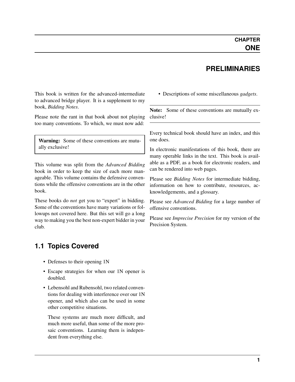#### **PRELIMINARIES**

<span id="page-3-0"></span>This book is written for the advanced-intermediate to advanced bridge player. It is a supplement to my book, *Bidding Notes*.

Please note the rant in that book about not playing too many conventions. To which, we must now add:

Warning: Some of these conventions are mutually exclusive!

This volume was split from the *Advanced Bidding* book in order to keep the size of each more manageable. This volume contains the defensive conventions while the offensive conventions are in the other book.

These books do *not* get you to "expert" in bidding. Some of the conventions have many variations or followups not covered here. But this set will go a long way to making you the best non-expert bidder in your club.

#### <span id="page-3-1"></span>**1.1 Topics Covered**

- Defenses to their opening 1N
- Escape strategies for when our 1N opener is doubled.
- Lebensohl and Rubensohl, two related conventions for dealing with interference over our 1N opener, and which also can be used in some other competitive situations.

These systems are much more difficult, and much more useful, than some of the more prosaic conventions. Learning them is independent from everything else.

• Descriptions of some miscellaneous *[gadgets](#page-32-0)*.

Note: Some of these conventions are mutually exclusive!

Every technical book should have an index, and this one does.

In electronic manifestations of this book, there are many operable links in the text. This book is available as a PDF, as a book for electronic readers, and can be rendered into web pages.

Please see *Bidding Notes* for intermediate bidding, information on how to contribute, resources, acknowledgements, and a glossary.

Please see *Advanced Bidding* for a large number of offensive conventions.

Please see *Imprecise Precision* for my version of the Precision System.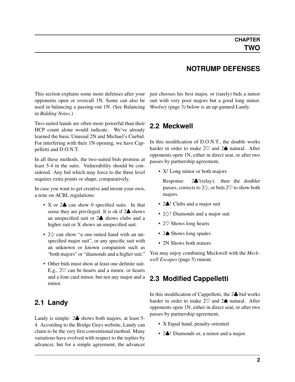<span id="page-4-5"></span><span id="page-4-0"></span>This section explains some more defenses after your opponents open or overcall 1N. Some can also be used in balancing a passing-out 1N. (See Balancing in *Bidding Notes*.)

Two-suited hands are often more powerful than their HCP count alone would indicate. We've already learned the basic Unusual 2N and Michael's Cuebid. For interfering with their 1N opening, we have Cappelletti and D.O.N.T.

In all these methods, the two-suited bids promise at least 5-4 in the suits. Vulnerability should be considered. Any bid which may force to the three level requires extra points or shape, comparatively.

In case you want to get creative and invent your own, a note on ACBL regulations:

- X or 2 $\clubsuit$  can show 0 specified suits. In that sense they are privileged. It is ok if 2♣ shows an unspecified suit or 2♣ shows clubs and a higher suit or X shows an unspecified suit.
- 2♢ can show "a one-suited hand with an unspecified major suit", or any specific suit with an unknown or known companion such as "both majors" or "diamonds and a higher suit."
- Other bids must show at least one definite suit. E.g.,  $2\heartsuit$  can be hearts and a minor, or hearts and a four card minor, but not any major and a minor.

#### <span id="page-4-1"></span>**2.1 Landy**

Landy is simple: 2♣ shows both majors, at least 5- 4. According to the Bridge Guys website, Landy can claim to be the very first conventional method. Many variations have evolved with respect to the replies by advancer, but for a simple agreement, the advancer just chooses his best major, or (rarely) bids a minor suit with very poor majors but a good long minor. *[Woolsey](#page-5-4)* (page 3) below is an up-gunned Landy.

**NOTRUMP DEFENSES**

#### <span id="page-4-2"></span>**2.2 Meckwell**

<span id="page-4-4"></span>In this modification of D.O.N.T., the double works harder in order to make  $2\heartsuit$  and  $2\spadesuit$  natural. After opponents open 1N, either in direct seat, or after two passes by partnership agreement,

• X! Long minor or both majors

Response: 2♣!(relay); then the doubler passes, corrects to  $2\diamondsuit$ , or bids  $2\heartsuit$  to show both majors.

- 2. ! Clubs and a major suit
- 2♢! Diamonds and a major suit
- 2 $\heartsuit$  Shows long hearts
- 2♠ Shows long spades
- 2N Shows both minors

You may enjoy combining Meckwell with the *[Meck](#page-7-3)[well Escapes](#page-7-3)* (page 5) runout.

#### <span id="page-4-3"></span>**2.3 Modified Cappelletti**

In this modification of Cappelletti, the 2♣ bid works harder in order to make  $2\heartsuit$  and  $2\spadesuit$  natural. After opponents open 1N, either in direct seat, or after two passes by partnership agreement,

- X Equal hand, penalty-oriented
- 2. I Diamonds or, a minor and a major.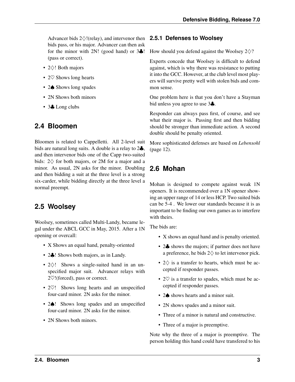<span id="page-5-5"></span>Advancer bids 2♢!(relay), and intervenor then **2.5.1 Defenses to Woolsey** bids pass, or his major. Advancer can then ask for the minor with 2N! (good hand) or  $3\clubsuit$ ! (pass or correct).

- 2♢! Both majors
- 2 $\heartsuit$  Shows long hearts
- 2♠ Shows long spades
- 2N Shows both minors
- 3♣ Long clubs

## <span id="page-5-0"></span>**2.4 Bloomen**

Bloomen is related to Cappelletti. All 2-level suit bids are natural long suits. A double is a relay to 2♣, and then intervenor bids one of the Capp two-suited bids:  $2\diamond$  for both majors, or 2M for a major and a minor. As usual, 2N asks for the minor. Doubling and then bidding a suit at the three level is a strong six-carder, while bidding directly at the three level a normal preempt.

## <span id="page-5-1"></span>**2.5 Woolsey**

<span id="page-5-4"></span>Woolsey, sometimes called Multi-Landy, became legal under the ABCL GCC in May, 2015. After a 1N opening or overcall:

- X Shows an equal hand, penalty-oriented
- 2. Shows both majors, as in Landy.
- 2♢! Shows a single-suited hand in an unspecified major suit. Advancer relays with 2♡!(forced), pass or correct.
- 2 $\heartsuit$ ! Shows long hearts and an unspecified four-card minor. 2N asks for the minor.
- 2 $\spadesuit$ ! Shows long spades and an unspecified four-card minor. 2N asks for the minor.
- 2N Shows both minors.

<span id="page-5-2"></span>How should you defend against the Woolsey  $2\diamondsuit$ ?

Experts concede that Woolsey is difficult to defend against, which is why there was resistance to putting it into the GCC. However, at the club level most players will survive pretty well with stolen bids and common sense.

One problem here is that you don't have a Stayman bid unless you agree to use 3♣.

Responder can always pass first, of course, and see what their major is. Passing first and then bidding should be stronger than immediate action. A second double should be penalty oriented.

More sophisticated defenses are based on *[Lebensohl](#page-14-3)* (page 12).

## <span id="page-5-3"></span>**2.6 Mohan**

Mohan is designed to compete against weak 1N openers. It is recommended over a 1N opener showing an upper range of 14 or less HCP. Two suited bids can be 5-4 . We lower our standards because it is as important to be finding our own games as to interfere with theirs.

The bids are:

- X shows an equal hand and is penalty oriented.
- 2. shows the majors; if partner does not have a preference, he bids  $2\diamondsuit$  to let intervenor pick.
- $2\diamondsuit$  is a transfer to hearts, which must be accepted if responder passes.
- 2 $\heartsuit$  is a transfer to spades, which must be accepted if responder passes.
- 2 $\spadesuit$  shows hearts and a minor suit.
- 2N shows spades and a minor suit.
- Three of a minor is natural and constructive.
- Three of a major is preemptive.

Note why the three of a major is preemptive. The person holding this hand could have transfered to his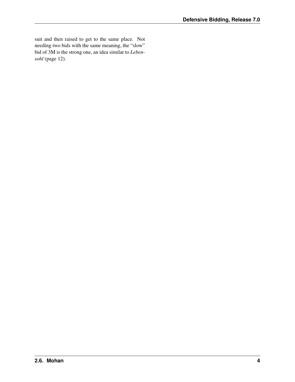suit and then raised to get to the same place. Not needing two bids with the same meaning, the "slow" bid of 3M is the strong one, an idea similar to *[Leben](#page-14-3)[sohl](#page-14-3)* (page 12).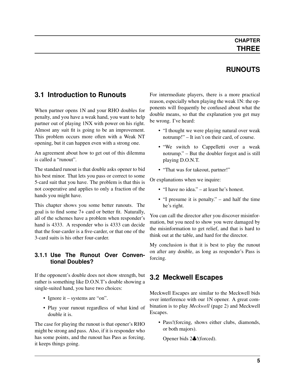### **CHAPTER THREE**

## **RUNOUTS**

#### <span id="page-7-4"></span><span id="page-7-0"></span>**3.1 Introduction to Runouts**

When partner opens 1N and your RHO doubles for penalty, and you have a weak hand, you want to help partner out of playing 1NX with power on his right. Almost any suit fit is going to be an improvement. This problem occurs more often with a Weak NT opening, but it can happen even with a strong one.

An agreement about how to get out of this dilemma is called a "runout".

The standard runout is that double asks opener to bid his best minor. That lets you pass or correct to some 5-card suit that you have. The problem is that this is not cooperative and applies to only a fraction of the hands you might have.

This chapter shows you some better runouts. The goal is to find some 7+ card or better fit. Naturally, all of the schemes have a problem when responder's hand is 4333. A responder who is 4333 can decide that the four-carder is a five-carder, or that one of the 3-card suits is his other four-carder.

#### <span id="page-7-1"></span>**3.1.1 Use The Runout Over Conventional Doubles?**

If the opponent's double does not show strength, but rather is something like D.O.N.T's double showing a single-suited hand, you have two choices:

- Ignore it systems are "on".
- Play your runout regardless of what kind of double it is.

The case for playing the runout is that opener's RHO might be strong and pass. Also, if it is responder who has some points, and the runout has Pass as forcing, it keeps things going.

For intermediate players, there is a more practical reason, especially when playing the weak 1N: the opponents will frequently be confused about what the double means, so that the explanation you get may be wrong. I've heard:

- "I thought we were playing natural over weak notrump!" – It isn't on their card, of course.
- "We switch to Cappelletti over a weak notrump." – But the doubler forgot and is still playing D.O.N.T.
- "That was for takeout, partner!"

Or explanations when we inquire:

- "I have no idea." at least he's honest.
- "I presume it is penalty." and half the time he's right.

You can call the director after you discover misinformation, but you need to show you were damaged by the misinformation to get relief, and that is hard to think out at the table, and hard for the director.

My conclusion is that it is best to play the runout on after any double, as long as responder's Pass is forcing.

#### <span id="page-7-2"></span>**3.2 Meckwell Escapes**

<span id="page-7-3"></span>Meckwell Escapes are similar to the Meckwell bids over interference with our 1N opener. A great combination is to play *[Meckwell](#page-4-4)* (page 2) and Meckwell Escapes.

• Pass!(forcing, shows either clubs, diamonds, or both majors).

Opener bids 2♣!(forced).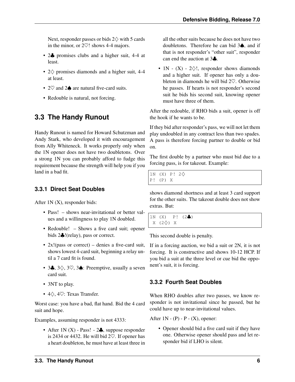<span id="page-8-3"></span>Next, responder passes or bids  $2\diamondsuit$  with 5 cards in the minor, or 2♡! shows 4-4 majors.

- 2. promises clubs and a higher suit, 4-4 at least.
- 2♢ promises diamonds and a higher suit, 4-4 at least.
- 2♡ and 2♠ are natural five-card suits.
- Redouble is natural, not forcing.

## <span id="page-8-0"></span>**3.3 The Handy Runout**

Handy Runout is named for Howard Schutzman and Andy Stark, who developed it with encouragement from Ally Whiteneck. It works properly only when the 1N opener does not have two doubletons. Over a strong 1N you can probably afford to fudge this requirement because the strength will help you if you land in a bad fit.

#### <span id="page-8-1"></span>**3.3.1 Direct Seat Doubles**

After 1N (X), responder bids:

- Pass! shows near-invitational or better values and a willingness to play 1N doubled.
- Redouble! Shows a five card suit; opener bids 2♣!(relay), pass or correct.
- 2x!(pass or correct) denies a five-card suit, shows lowest 4-card suit, beginning a relay until a 7 card fit is found.
- 3.,  $3\diamondsuit$ ,  $3\heartsuit$ ,  $3\spadesuit$ : Preemptive, usually a seven card suit.
- 3NT to play.
- 4♢, 4♡: Texas Transfer.

Worst case: you have a bad, flat hand. Bid the 4 card suit and hope.

Examples, assuming responder is not 4333:

• After  $1N(X)$  - Pass! -  $2\clubsuit$ , suppose responder is 2434 or 4432. He will bid  $2\heartsuit$ . If opener has a heart doubleton, he must have at least three in all the other suits because he does not have two doubletons. Therefore he can bid 3♠, and if that is not responder's "other suit", responder can end the auction at 3♣.

• 1N -  $(X)$  -  $2\diamondsuit!$ , responder shows diamonds and a higher suit. If opener has only a doubleton in diamonds he will bid 2♡. Otherwise he passes. If hearts is not responder's second suit he bids his second suit, knowing opener must have three of them.

After the redouble, if RHO bids a suit, opener is off the hook if he wants to be.

If they bid after responder's pass, we will not let them play undoubled in any contract less than two spades. A pass is therefore forcing partner to double or bid on.

The first double by a partner who must bid due to a forcing pass, is for takeout. Example:

1N (X) P!  $2\diamondsuit$ P! (P) X

shows diamond shortness and at least 3 card support for the other suits. The takeout double does not show extras. But:

```
1N (X) P! (2\clubsuit)
X (2\diamond) X
```
This second double is penalty.

If in a forcing auction, we bid a suit or 2N, it is not forcing. It is constructive and shows 10-12 HCP. If you bid a suit at the three level or cue bid the opponent's suit, it is forcing.

#### <span id="page-8-2"></span>**3.3.2 Fourth Seat Doubles**

When RHO doubles after two passes, we know responder is not invitational since he passed, but he could have up to near-invitational values.

After  $1N - (P) - P - (X)$ , opener:

• Opener should bid a five card suit if they have one. Otherwise opener should pass and let responder bid if LHO is silent.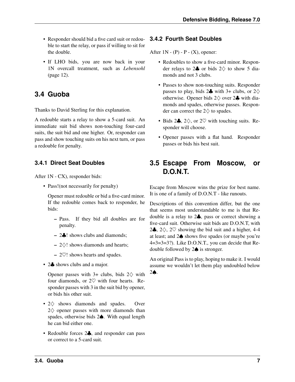- <span id="page-9-4"></span>• Responder should bid a five card suit or redouble to start the relay, or pass if willing to sit for the double.
- If LHO bids, you are now back in your 1N overcall treatment, such as *[Lebensohl](#page-14-3)* (page 12).

## <span id="page-9-0"></span>**3.4 Guoba**

Thanks to David Sterling for this explanation.

A redouble starts a relay to show a 5-card suit. An immediate suit bid shows non-touching four-card suits, the suit bid and one higher. Or, responder can pass and show touching suits on his next turn, or pass a redouble for penalty.

#### <span id="page-9-1"></span>**3.4.1 Direct Seat Doubles**

After 1N - CX), responder bids:

• Pass! (not necessarily for penalty)

Opener must redouble or bid a five-card minor. If the redouble comes back to responder, he bids:

- Pass. If they bid all doubles are for penalty.
- 2♣! shows clubs and diamonds;
- $-2$  $\diamond$ ! shows diamonds and hearts;
- $-2\heartsuit!$  shows hearts and spades.
- 2. shows clubs and a major.

Opener passes with  $3+$  clubs, bids  $2\diamondsuit$  with four diamonds, or  $2\heartsuit$  with four hearts. Responder passes with 3 in the suit bid by opener, or bids his other suit.

- 2 $\diamond$  shows diamonds and spades. Over 2 ♦ opener passes with more diamonds than spades, otherwise bids 2♠. With equal length he can bid either one.
- Redouble forces 2 $\clubsuit$ , and responder can pass or correct to a 5-card suit.

#### <span id="page-9-2"></span>**3.4.2 Fourth Seat Doubles**

After  $1N - (P) - P - (X)$ , opener:

- Redoubles to show a five-card minor. Responder relays to  $2\clubsuit$  or bids  $2\diamondsuit$  to show 5 diamonds and not 3 clubs.
- Passes to show non-touching suits. Responder passes to play, bids  $2\clubsuit$  with  $3+$  clubs, or  $2\diamondsuit$ otherwise. Opener bids  $2\diamondsuit$  over  $2\clubsuit$  with diamonds and spades, otherwise passes. Responder can correct the  $2\diamondsuit$  to spades.
- Bids  $2\clubsuit$ ,  $2\diamondsuit$ , or  $2\heartsuit$  with touching suits. Responder will choose.
- Opener passes with a flat hand. Responder passes or bids his best suit.

### <span id="page-9-3"></span>**3.5 Escape From Moscow, or D.O.N.T.**

Escape from Moscow wins the prize for best name. It is one of a family of D.O.N.T - like runouts.

Descriptions of this convention differ, but the one that seems most understandable to me is that Redouble is a relay to 2♣, pass or correct showing a five-card suit. Otherwise suit bids are D.O.N.T, with 2 $\clubsuit$ , 2 $\diamondsuit$ , 2 $\heartsuit$  showing the bid suit and a higher, 4-4 at least; and 2♠ shows five spades (or maybe you're 4=3=3=3?). Like D.O.N.T., you can decide that Redouble followed by 2♠ is stronger.

An original Pass is to play, hoping to make it. I would assume we wouldn't let them play undoubled below 2♠.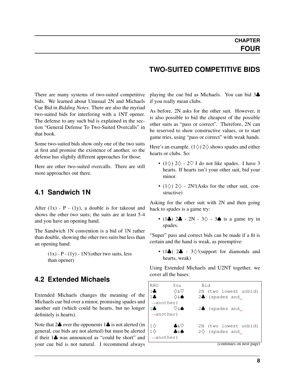#### **TWO-SUITED COMPETITIVE BIDS**

<span id="page-10-3"></span><span id="page-10-0"></span>There are many systems of two-suited competitive bids. We learned about Unusual 2N and Michaels Cue Bid in *Bidding Notes*. There are also the myriad two-suited bids for interfering with a 1NT opener. The defense to any such bid is explained in the section "General Defense To Two-Suited Overcalls" in that book.

Some two-suited bids show only one of the two suits at first and promise the existence of another, so the defense has slightly different approaches for those.

Here are other two-suited overcalls. There are still more approaches out there.

#### <span id="page-10-1"></span>**4.1 Sandwich 1N**

After  $(1x)$  - P -  $(1y)$ , a double is for takeout and shows the other two suits; the suits are at least 5-4 and you have an opening hand.

The Sandwich 1N convention is a bid of 1N rather than double, showing the other two suits but less than an opening hand:

> $(1x)$  - P -  $(1y)$  - 1N!(other two suits, less than opener)

#### <span id="page-10-2"></span>**4.2 Extended Michaels**

Extended Michaels changes the meaning of the Michaels cue bid over a minor, promising spades and another suit (which could be hearts, but no longer definitely is hearts).

Note that  $2\clubsuit$  over the opponents  $1\clubsuit$  is not alerted (in general, cue bids are not alerted) but must be alerted if their 1♣ was announced as "could be short" and your cue bid is not natural. I recommend always

playing the cue bid as Michaels. You can bid 3♣ if you really mean clubs.

As before, 2N asks for the other suit. However, it is also possible to bid the cheapest of the possible other suits as "pass or correct". Therefore, 2N can be reserved to show constructive values, or to start game tries, using "pass or correct" with weak hands.

Here's an example.  $(1\diamondsuit) 2\diamondsuit$  shows spades and either hearts or clubs. So:

- (1 $\diamond$ ) 2 $\diamond$  2 $\heartsuit$  I do not like spades. I have 3 hearts. If hearts isn't your other suit, bid your minor.
- (1 $\diamond$ ) 2 $\diamond$  2N!(Asks for the other suit, constructive)

Asking for the other suit with 2N and then going back to spades is a game try:

• (1 $\clubsuit$ ) 2 $\clubsuit$  - 2N - 3 $\diamond$  - 3 $\spadesuit$  is a game try in spades.

"Super" pass and correct bids can be made if a fit is certain and the hand is weak, as preemptive:

• (1 $\clubsuit$ ) 2 $\clubsuit$  - 3 $\diamondsuit$ !(support for diamonds and hearts, weak)

Using Extended Michaels and U2NT together, we cover all the bases:

| <b>RHO</b>             | You                    | Bid                           |  |  |  |
|------------------------|------------------------|-------------------------------|--|--|--|
| 14                     | ♦६♡                    | 2N (two lowest unbid)         |  |  |  |
| $1\clubsuit$           | ♦ ۵ ♦                  | $2\clubsuit$ (spades and )    |  |  |  |
|                        | $\rightarrow$ another) |                               |  |  |  |
| $1 -$                  | ♡&♠                    | $2\clubsuit$ (spades and      |  |  |  |
| $\rightarrow$ another) |                        |                               |  |  |  |
| $1\diamondsuit$        | ♣&♡                    | 2N (two lowest unbid)         |  |  |  |
|                        | ₳∝₳                    | $2\diamondsuit$ (spades and ) |  |  |  |
| $\rightarrow$ another) |                        |                               |  |  |  |
|                        |                        | (continues on next page)      |  |  |  |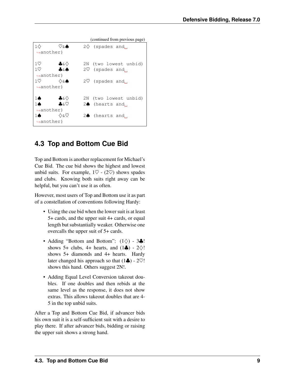<span id="page-11-1"></span>

| $1\Diamond$            | ♡&♠    |  | $2\diamondsuit$ (spades and |  |  |
|------------------------|--------|--|-----------------------------|--|--|
| $\rightarrow$ another) |        |  |                             |  |  |
|                        |        |  |                             |  |  |
| $1\circ$               | ♣&◇    |  | 2N (two lowest unbid)       |  |  |
| 1 <sup>o</sup>         | ₳ઠ₳    |  | $2\heartsuit$ (spades and,  |  |  |
| $\rightarrow$ another) |        |  |                             |  |  |
| $1\heartsuit$          | ♦శ♦    |  | $2\nabla$ (spades and )     |  |  |
| $\rightarrow$ another) |        |  |                             |  |  |
|                        |        |  |                             |  |  |
| 10                     | —————— |  | 2N (two lowest unbid)       |  |  |
| 16                     | ௯&♡    |  | $2\spadesuit$ (hearts and ) |  |  |
| $\rightarrow$ another) |        |  |                             |  |  |
| 10                     | ∧&V    |  | $2\spadesuit$ (hearts and,  |  |  |
| $\rightarrow$ another) |        |  |                             |  |  |

#### (continued from previous page)

## <span id="page-11-0"></span>**4.3 Top and Bottom Cue Bid**

Top and Bottom is another replacement for Michael's Cue Bid. The cue bid shows the highest and lowest unbid suits. For example,  $1\heartsuit$  -  $(2\heartsuit)$  shows spades and clubs. Knowing both suits right away can be helpful, but you can't use it as often.

However, most users of Top and Bottom use it as part of a constellation of conventions following Hardy:

- Using the cue bid when the lower suit is at least 5+ cards, and the upper suit 4+ cards, or equal length but substantially weaker. Otherwise one overcalls the upper suit of 5+ cards.
- Adding "Bottom and Bottom":  $(1\diamondsuit)$  3 $\clubsuit$ ! shows 5+ clubs, 4+ hearts, and  $(1\clubsuit)$  - 2 $\diamondsuit$ ! shows 5+ diamonds and 4+ hearts. Hardy later changed his approach so that  $(1\clubsuit)$  - 2 $\heartsuit$ ! shows this hand. Others suggest 2N!.
- Adding Equal Level Conversion takeout doubles. If one doubles and then rebids at the same level as the response, it does not show extras. This allows takeout doubles that are 4- 5 in the top unbid suits.

After a Top and Bottom Cue Bid, if advancer bids his own suit it is a self-sufficient suit with a desire to play there. If after advancer bids, bidding or raising the upper suit shows a strong hand.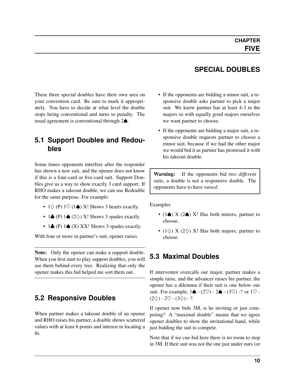**SPECIAL DOUBLES**

<span id="page-12-4"></span><span id="page-12-0"></span>These three special doubles have their own area on your convention card. Be sure to mark it appropriately. You have to decide at what level the double stops being conventional and turns to penalty. The usual agreement is conventional through 2♠.

#### <span id="page-12-1"></span>**5.1 Support Doubles and Redoubles**

Some times opponents interfere after the responder has shown a new suit, and the opener does not know if this is a four-card or five-card suit. Support Doubles give us a way to show exactly 3 card support. If RHO makes a takeout double, we can use Redouble for the same purpose. For example:

- $1 \diamondsuit$  (P)  $1 \heartsuit$  (1 $\spadesuit$ ) X! Shows 3 hearts exactly.
- 1 $\clubsuit$  (P) 1 $\spadesuit$  (2 $\diamondsuit$ ) X! Shows 3 spades exactly.
- 1 $\clubsuit$  (P) 1 $\spadesuit$  (X) XX! Shows 3 spades exactly.

With four or more in partner's suit, opener raises.

Note: Only the opener can make a support double. When you first start to play support doubles, you will see them behind every tree. Realizing that only the opener makes this bid helped me sort them out.

#### <span id="page-12-2"></span>**5.2 Responsive Doubles**

When partner makes a takeout double of an opener and RHO raises his partner, a double shows scattered values with at least 6 points and interest in locating a fit.

- If the opponents are bidding a minor suit, a responsive double asks partner to pick a major suit. We know partner has at least 4-3 in the majors so with equally good majors ourselves we want partner to choose.
- If the opponents are bidding a major suit, a responsive double requests partner to choose a minor suit, because if we had the other major we would bid it as partner has promised it with his takeout double.

Warning: If the opponents bid two *different* suits, a double is not a responsive double. The opponents have to have *raised*.

Examples

- (1 $\spadesuit$ ) X (2 $\spadesuit$ ) X! Has both minors, partner to choose.
- (1 $\diamondsuit$ ) X (2 $\diamondsuit$ ) X! Has both majors, partner to choose.

## <span id="page-12-3"></span>**5.3 Maximal Doubles**

If interventor overcalls our major, partner makes a simple raise, and the advancer raises his partner, the opener has a dilemma if their suit is one below our suit. For example,  $1\spadesuit$  - (2 $\heartsuit$ ) - 2 $\spadesuit$  - (3 $\heartsuit$ ) -? or  $1\heartsuit$  - $(2\diamondsuit)$  - 2 $\heartsuit$  -  $(3\diamondsuit)$  - ?.

If opener now bids 3M, is he inviting or just competing? A "maximal double" means that we agree opener doubles to show the invitational hand, while just bidding the suit to compete.

Note that if we cue-bid here there is no room to stop in 3M. If their suit was not the one just under ours (or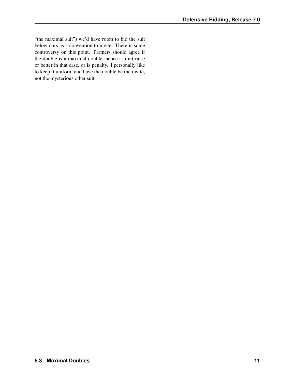"the maximal suit") we'd have room to bid the suit below ours as a convention to invite. There is some controversy on this point. Partners should agree if the double is a maximal double, hence a limit raise or better in that case, or is penalty. I personally like to keep it uniform and have the double be the invite, not the mysterious other suit.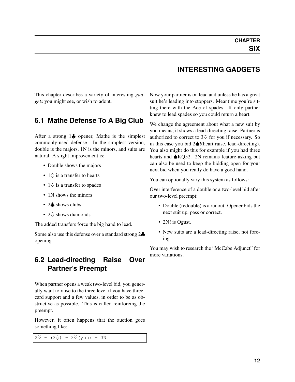#### **INTERESTING GADGETS**

<span id="page-14-4"></span><span id="page-14-0"></span>This chapter describes a variety of interesting *[gad](#page-32-0)[gets](#page-32-0)* you might see, or wish to adopt.

#### <span id="page-14-1"></span>**6.1 Mathe Defense To A Big Club**

After a strong 1♣ opener, Mathe is the simplest commonly-used defense. In the simplest version, double is the majors, 1N is the minors, and suits are natural. A slight improvement is:

- Double shows the majors
- $1\diamondsuit$  is a transfer to hearts
- 1 $\heartsuit$  is a transfer to spades
- 1N shows the minors
- 2. shows clubs
- 2♢ shows diamonds

The added transfers force the big hand to lead.

Some also use this defense over a standard strong 2♣ opening.

#### <span id="page-14-2"></span>**6.2 Lead-directing Raise Over Partner's Preempt**

When partner opens a weak two-level bid, you generally want to raise to the three level if you have threecard support and a few values, in order to be as obstructive as possible. This is called reinforcing the preempt.

However, it often happens that the auction goes something like:

 $2\heartsuit - (3\diamondsuit) - 3\heartsuit$  (you) - 3N

Now your partner is on lead and unless he has a great suit he's leading into stoppers. Meantime you're sitting there with the Ace of spades. If only partner knew to lead spades so you could return a heart.

We change the agreement about what a new suit by you means; it shows a lead-directing raise. Partner is authorized to correct to  $3\heartsuit$  for you if necessary. So in this case you bid 2♠!(heart raise, lead-directing). You also might do this for example if you had three hearts and ♠KQ52. 2N remains feature-asking but can also be used to keep the bidding open for your next bid when you really do have a good hand.

You can optionally vary this system as follows:

Over interference of a double or a two-level bid after our two-level preempt:

- Double (redouble) is a runout. Opener bids the next suit up, pass or correct.
- 2N! is Ogust.
- <span id="page-14-3"></span>• New suits are a lead-directing raise, not forcing.

You may wish to research the "McCabe Adjunct" for more variations.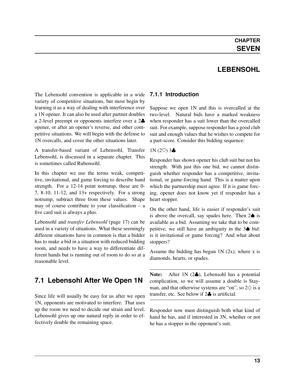## **LEBENSOHL**

<span id="page-15-0"></span>The Lebensohl convention is applicable in a wide **7.1.1 Introduction** variety of competitive situations, but most begin by learning it as a way of dealing with interference over a 1N opener. It can also be used after partner doubles a 2-level preempt or opponents interfere over a 2♣ opener, or after an opener's reverse, and other competitive situations. We will begin with the defense to 1N overcalls, and cover the other situations later.

A transfer-based variant of Lebensohl, Transfer Lebensohl, is discussed in a separate chapter. This is sometimes called Rubensohl.

In this chapter we use the terms weak, competitive, invitational, and game forcing to describe hand strength. For a 12-14 point notrump, these are 0- 7, 8-10, 11-12, and 13+ respectively. For a strong notrump, subtract three from these values. Shape may of course contribute to your classification – a five card suit is always a plus.

Lebensohl and *[transfer Lebensohl](#page-19-1)* (page 17) can be used in a variety of situations. What these seemingly different situations have in common is that a bidder has to make a bid in a situation with reduced bidding room, and needs to have a way to differentiate different hands but is running out of room to do so at a reasonable level.

## <span id="page-15-1"></span>**7.1 Lebensohl After We Open 1N**

Since life will usually be easy for us after we open 1N, opponents are motivated to interfere. That uses up the room we need to decide our strain and level. Lebensohl gives up one natural reply in order to effectively double the remaining space.

<span id="page-15-2"></span>Suppose we open 1N and this is overcalled at the two-level. Natural bids have a marked weakness when responder has a suit lower than the overcalled suit. For example, suppose responder has a good club suit and enough values that he wishes to compete for a part-score. Consider this bidding sequence:

#### $1N(2\heartsuit)$  3.

Responder has shown opener his club suit but not his strength. With just this one bid, we cannot distinguish whether responder has a competitive, invitational, or game-forcing hand. This is a matter upon which the partnership must agree. If it is game forcing, opener does not know yet if responder has a heart stopper.

On the other hand, life is easier if responder's suit is above the overcall, say spades here. Then 2♠ is available as a bid. Assuming we take that to be competitive, we still have an ambiguity in the 3♠ bid: is it invitational or game forcing? And what about stoppers?

Assume the bidding has begun  $1N(2x)$ , where x is diamonds, hearts, or spades.

Note: After 1N (2♣), Lebensohl has a potential complication, so we will assume a double is Stayman, and that otherwise systems are "on", so  $2\diamondsuit$  is a transfer, etc. See below if 2♣ is artificial.

Responder now must distinguish both what kind of hand he has, and if interested in 3N, whether or not he has a stopper in the opponent's suit.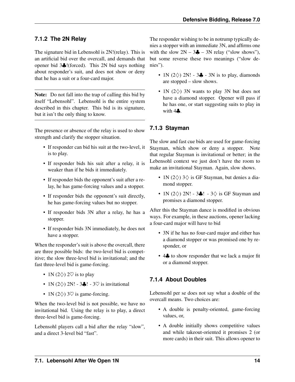#### <span id="page-16-3"></span><span id="page-16-0"></span>**7.1.2 The 2N Relay**

The signature bid in Lebensohl is 2N!(relay). This is an artificial bid over the overcall, and demands that opener bid 3♣!(forced). This 2N bid says nothing about responder's suit, and does not show or deny that he has a suit or a four-card major.

Note: Do not fall into the trap of calling this bid by itself "Lebensohl". Lebensohl is the entire system described in this chapter. This bid is its signature, but it isn't the only thing to know.

The presence or absence of the relay is used to show strength and clarify the stopper situation.

- If responder can bid his suit at the two-level, it is to play.
- If responder bids his suit after a relay, it is weaker than if he bids it immediately.
- If responder bids the opponent's suit after a relay, he has game-forcing values and a stopper.
- If responder bids the opponent's suit directly, he has game-forcing values but no stopper.
- If responder bids 3N after a relay, he has a stopper.
- If responder bids 3N immediately, he does not have a stopper.

When the responder's suit is above the overcall, there are three possible bids: the two-level bid is competitive; the slow three-level bid is invitational; and the fast three-level bid is game-forcing.

- 1N (2 $\diamond$ ) 2 $\heartsuit$  is to play
- 1N (2 $\diamond$ ) 2N! 3. ! 3 $\heartsuit$  is invitational
- 1N (2 $\diamondsuit$ ) 3 $\heartsuit$  is game-forcing.

When the two-level bid is not possible, we have no invitational bid. Using the relay is to play, a direct three-level bid is game-forcing.

Lebensohl players call a bid after the relay "slow", and a direct 3-level bid "fast".

The responder wishing to be in notrump typically denies a stopper with an immediate 3N, and affirms one with the slow  $2N - 3\clubsuit - 3N$  relay ("slow shows"), but some reverse these two meanings ("slow denies").

- 1N (2 $\diamond$ ) 2N! 3. 3N is to play, diamonds are stopped – slow shows.
- 1N (2 $\diamond$ ) 3N wants to play 3N but does not have a diamond stopper. Opener will pass if he has one, or start suggesting suits to play in with  $4\clubsuit$ .

#### <span id="page-16-1"></span>**7.1.3 Stayman**

The slow and fast cue bids are used for game-forcing Stayman, which show or deny a stopper. Note that regular Stayman is invitational or better; in the Lebensohl context we just don't have the room to make an invitational Stayman. Again, slow shows.

- 1N (2 $\diamondsuit$ ) 3 $\diamondsuit$  is GF Stayman, but denies a diamond stopper.
- 1N (2 $\diamondsuit$ ) 2N! 3 $\clubsuit$ ! 3 $\diamondsuit$  is GF Stayman and promises a diamond stopper.

After this the Stayman dance is modified in obvious ways. For example, in these auctions, opener lacking a four-card major will have to bid

- 3N if he has no four-card major and either has a diamond stopper or was promised one by responder, or
- 4. to show responder that we lack a major fit or a diamond stopper.

#### <span id="page-16-2"></span>**7.1.4 About Doubles**

Lebensohl per se does not say what a double of the overcall means. Two choices are:

- A double is penalty-oriented, game-forcing values, or,
- A double initially shows competitive values and while takeout-oriented it promises 2 (or more cards) in their suit. This allows opener to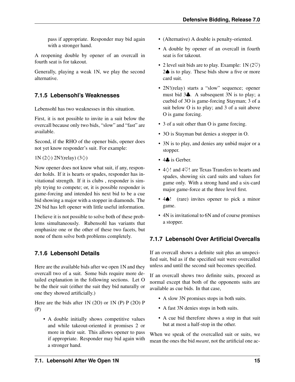<span id="page-17-3"></span>pass if appropriate. Responder may bid again with a stronger hand.

A reopening double by opener of an overcall in fourth seat is for takeout.

Generally, playing a weak 1N, we play the second alternative.

#### <span id="page-17-0"></span>**7.1.5 Lebensohl's Weaknesses**

Lebensohl has two weaknesses in this situation.

First, it is not possible to invite in a suit below the overcall because only two bids, "slow" and "fast" are available.

Second, if the RHO of the opener bids, opener does not yet know responder's suit. For example:

#### 1N (2 $\diamond$ ) 2N!(relay) (3 $\diamond$ )

Now opener does not know what suit, if any, responder holds. If it is hearts or spades, responder has invitational strength. If it is clubs , responder is simply trying to compete; or, it is possible responder is game-forcing and intended his next bid to be a cue bid showing a major with a stopper in diamonds. The 2N bid has left opener with little useful information.

I believe it is not possible to solve both of these problems simultaneously. Rubensohl has variants that emphasize one or the other of these two facets, but none of them solve both problems completely.

#### <span id="page-17-1"></span>**7.1.6 Lebensohl Details**

Here are the available bids after we open 1N and they overcall two of a suit. Some bids require more detailed explanation in the following sections. Let O be the their suit (either the suit they bid naturally or one they showed artificially.)

Here are the bids after 1N (2O) or 1N (P) P (2O) P (P)

• A double initially shows competitive values and while takeout-oriented it promises 2 or more in their suit. This allows opener to pass if appropriate. Responder may bid again with a stronger hand.

- (Alternative) A double is penalty-oriented.
- A double by opener of an overcall in fourth seat is for takeout.
- 2 level suit bids are to play. Example:  $1N (2\heartsuit)$ 2♠ is to play. These bids show a five or more card suit.
- 2N!(relay) starts a "slow" sequence; opener must bid 3♣. A subsequent 3N is to play; a cuebid of 3O is game-forcing Stayman; 3 of a suit below O is to play; and 3 of a suit above O is game forcing.
- 3 of a suit other than O is game forcing.
- 3O is Stayman but denies a stopper in O.
- 3N is to play, and denies any unbid major or a stopper.
- 4**.** is Gerber.
- 4♢! and 4♡! are Texas Transfers to hearts and spades, showing six card suits and values for game only. With a strong hand and a six-card major game-force at the three level first.
- 4♠! (rare) invites opener to pick a minor game.
- 4N is invitational to 6N and of course promises a stopper.

#### <span id="page-17-2"></span>**7.1.7 Lebensohl Over Artificial Overcalls**

If an overcall shows a definite suit plus an unspecified suit, bid as if the specified suit were overcalled unless and until the second suit becomes specified.

If an overcall shows two definite suits, proceed as normal except that both of the opponents suits are available as cue bids. In that case,

- A slow 3N promises stops in both suits.
- A fast 3N denies stops in both suits.
- A cue bid therefore shows a stop in that suit but at most a half-stop in the other.

When we speak of the overcalled suit or suits, we mean the ones the bid *meant*, not the artificial one ac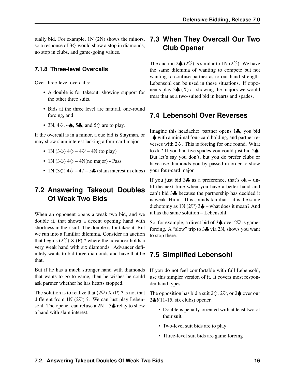<span id="page-18-5"></span>tually bid. For example, 1N (2N) shows the minors, so a response of  $3\diamondsuit$  would show a stop in diamonds, no stop in clubs, and game-going values.

#### <span id="page-18-0"></span>**7.1.8 Three-level Overcalls**

Over three-level overcalls:

- A double is for takeout, showing support for the other three suits.
- Bids at the three level are natural, one-round forcing, and
- 3N, 4 $\heartsuit$ , 4 $\spadesuit$ , 5 $\clubsuit$ , and 5 $\diamondsuit$  are to play.

If the overcall is in a minor, a cue bid is Stayman, or may show slam interest lacking a four-card major.

- 1N (3 $\diamondsuit$ ) 4 $\diamondsuit$  4 $\heartsuit$  4N (to play)
- 1N (3 $\diamond$ ) 4 $\diamond$  4N(no major) Pass
- 1N (3 $\diamond$ ) 4 $\diamond$  4? 5. (slam interest in clubs)

## <span id="page-18-1"></span>**7.2 Answering Takeout Doubles Of Weak Two Bids**

When an opponent opens a weak two bid, and we double it, that shows a decent opening hand with shortness in their suit. The double is for takeout. But we run into a familiar dilemma. Consider an auction that begins  $(2\heartsuit) X(P)$ ? where the advancer holds a very weak hand with six diamonds. Advancer definitely wants to bid three diamonds and have that be that.

But if he has a much stronger hand with diamonds that wants to go to game, then he wishes he could ask partner whether he has hearts stopped.

The solution is to realize that  $(2\heartsuit) X(P)$ ? is not that different from 1N  $(2\heartsuit)$  ?. We can just play Lebensohl. The opener can refuse a  $2N - 3$  relay to show a hand with slam interest.

## <span id="page-18-2"></span>**7.3 When They Overcall Our Two Club Opener**

The auction  $2\clubsuit$  (2 $\heartsuit$ ) is similar to 1N (2 $\heartsuit$ ). We have the same dilemma of wanting to compete but not wanting to confuse partner as to our hand strength. Lebensohl can be used in these situations. If opponents play  $2\clubsuit$  (X) as showing the majors we would treat that as a two-suited bid in hearts and spades.

## <span id="page-18-3"></span>**7.4 Lebensohl Over Reverses**

Imagine this headache: partner opens 1♣, you bid 1♠ with a minimal four-card holding, and partner reverses with 2♡. This is forcing for one round. What to do? If you had five spades you could just bid 2♠. But let's say you don't, but you do prefer clubs or have five diamonds you by-passed in order to show your four-card major.

If you just bid  $3\clubsuit$  as a preference, that's ok – until the next time when you have a better hand and can't bid 3♣ because the partnership has decided it is weak. Hmm. This sounds familiar – it is the same dichotomy as  $1N$  (2 $\heartsuit$ ) 3 $\clubsuit$  – what does it mean? And it has the same solution – Lebensohl.

So, for example, a direct bid of  $3\clubsuit$  over  $2\heartsuit$  is gameforcing. A "slow" trip to 3♣ via 2N, shows you want to stop there.

## <span id="page-18-4"></span>**7.5 Simplified Lebensohl**

If you do not feel comfortable with full Lebensohl, use this simpler version of it. It covers most responder hand types.

The opposition has bid a suit  $2\diamondsuit$ ,  $2\heartsuit$ , or  $2\spadesuit$  over our 2♣!(11-15, six clubs) opener.

- Double is penalty-oriented with at least two of their suit.
- Two-level suit bids are to play
- Three-level suit bids are game forcing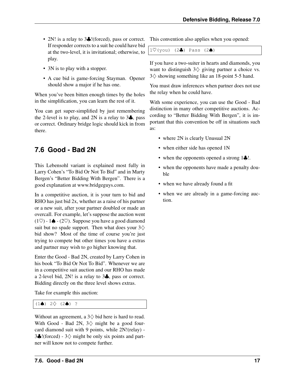- <span id="page-19-2"></span>• 2N! is a relay to 3. I (forced), pass or correct. If responder corrects to a suit he could have bid at the two-level, it is invitational; otherwise, to play.
- 3N is to play with a stopper.
- A cue bid is game-forcing Stayman. Opener should show a major if he has one.

When you've been bitten enough times by the holes in the simplification, you can learn the rest of it.

You can get super-simplified by just remembering the 2-level is to play, and 2N is a relay to  $3\clubsuit$ , pass or correct. Ordinary bridge logic should kick in from there.

## <span id="page-19-0"></span>**7.6 Good - Bad 2N**

This Lebensohl variant is explained most fully in Larry Cohen's "To Bid Or Not To Bid" and in Marty Bergen's "Better Bidding With Bergen". There is a good explanation at www.bridgeguys.com.

In a competitive auction, it is your turn to bid and RHO has just bid 2x, whether as a raise of his partner or a new suit, after your partner doubled or made an overcall. For example, let's suppose the auction went  $(1\heartsuit)$  - 1 $\spadesuit$  -  $(2\heartsuit)$ . Suppose you have a good diamond suit but no spade support. Then what does your  $3\diamondsuit$ bid show? Most of the time of course you're just trying to compete but other times you have a extras and partner may wish to go higher knowing that.

Enter the Good - Bad 2N, created by Larry Cohen in his book "To Bid Or Not To Bid". Whenever we are in a competitive suit auction and our RHO has made a 2-level bid, 2N! is a relay to 3♣, pass or correct. Bidding directly on the three level shows extras.

Take for example this auction:

 $(1\spadesuit)$  2 $\diamondsuit$   $(2\spadesuit)$  ?

Without an agreement, a  $3\diamondsuit$  bid here is hard to read. With Good - Bad 2N,  $3\diamond$  might be a good fourcard diamond suit with 9 points, while 2N!(relay) - 3. I(forced) - 3  $\Diamond$  might be only six points and partner will know not to compete further.

This convention also applies when you opened:

 $1\heartsuit$ (you) (2♣) Pass (2♠)

If you have a two-suiter in hearts and diamonds, you want to distinguish  $3\diamondsuit$  giving partner a choice vs. 3♢ showing something like an 18-point 5-5 hand.

You must draw inferences when partner does not use the relay when he could have.

With some experience, you can use the Good - Bad distinction in many other competitive auctions. According to "Better Bidding With Bergen", it is important that this convention be off in situations such as:

- where 2N is clearly Unusual 2N
- when either side has opened 1N
- when the opponents opened a strong 1 $\clubsuit$ !.
- when the opponents have made a penalty double
- when we have already found a fit
- <span id="page-19-1"></span>• when we are already in a game-forcing auction.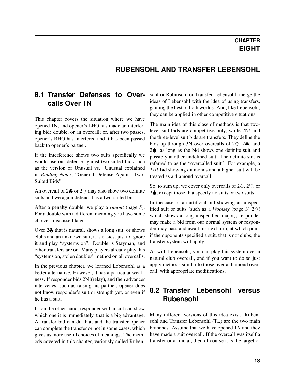#### **RUBENSOHL AND TRANSFER LEBENSOHL**

#### <span id="page-20-0"></span>**8.1 Transfer Defenses to Overcalls Over 1N**

This chapter covers the situation where we have opened 1N, and opener's LHO has made an interfering bid: double, or an overcall; or, after two passes, opener's RHO has interfered and it has been passed back to opener's partner.

If the interference shows two suits specifically we would use our defense against two-suited bids such as the version of Unusual vs. Unusual explained in *Bidding Notes*, "General Defense Against Two-Suited Bids".

An overcall of  $2\clubsuit$  or  $2\diamondsuit$  may also show two definite suits and we again defend it as a two-suited bit.

After a penalty double, we play a *[runout](#page-7-0)* (page 5). For a double with a different meaning you have some choices, discussed later.

Over 2♣ that is natural, shows a long suit, or shows clubs and an unknown suit, it is easiest just to ignore it and play "systems on". Double is Stayman, and other transfers are on. Many players already play this "systems on, stolen doubles" method on all overcalls.

In the previous chapter, we learned Lebensohl as a better alternative. However, it has a particular weakness. If responder bids 2N!(relay), and then advancer intervenes, such as raising his partner, opener does not know responder's suit or strength yet, or even if he has a suit.

If, on the other hand, responder with a suit can show which one it is immediately, that is a big advantage. A transfer bid can do that, and the transfer opener can complete the transfer or not in some cases, which gives us more useful choices of meanings. The methods covered in this chapter, variously called Rubensohl or Rubinsohl or Transfer Lebensohl, merge the ideas of Lebensohl with the idea of using transfers, gaining the best of both worlds. And, like Lebensohl, they can be applied in other competitive situations.

The main idea of this class of methods is that twolevel suit bids are competitive only, while 2N! and the three-level suit bids are transfers. They define the bids up through 3N over overcalls of  $2\diamondsuit$ , 2 $\spadesuit$ , and 2♠, as long as the bid shows one definite suit and possibly another undefined suit. The definite suit is referred to as the "overcalled suit". For example, a  $2\diamond$ ! bid showing diamonds and a higher suit will be treated as a diamond overcall.

So, to sum up, we cover only overcalls of  $2\diamondsuit$ ,  $2\heartsuit$ , or 2♠, except those that specify no suits or two suits.

In the case of an artificial bid showing an unspecified suit or suits (such as a *[Woolsey](#page-5-4)* (page 3)  $2\diamondsuit!$ which shows a long unspecified major), responder may make a bid from our normal system or responder may pass and await his next turn, at which point if the opponents specified a suit, that is not clubs, the transfer system will apply.

As with Lebensohl, you can play this system over a natural club overcall, and if you want to do so just apply methods similar to those over a diamond overcall, with appropriate modifications.

#### <span id="page-20-1"></span>**8.2 Transfer Lebensohl versus Rubensohl**

Many different versions of this idea exist. Rubensohl and Transfer Lebensohl (TL) are the two main branches. Assume that we have opened 1N and they have made a suit overcall. If the overcall was itself a transfer or artificial, then of course it is the target of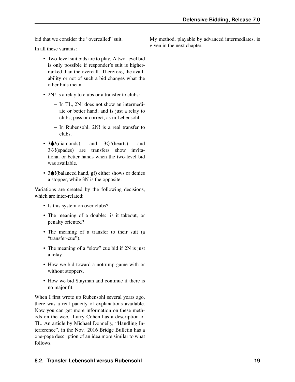bid that we consider the "overcalled" suit.

In all these variants:

- Two-level suit bids are to play. A two-level bid is only possible if responder's suit is higherranked than the overcall. Therefore, the availability or not of such a bid changes what the other bids mean.
- 2N! is a relay to clubs or a transfer to clubs:
	- In TL, 2N! does not show an intermediate or better hand, and is just a relay to clubs, pass or correct, as in Lebensohl.
	- In Rubensohl, 2N! is a real transfer to clubs.
- $3\clubsuit$ !(diamonds), and  $3\diamondsuit$ !(hearts), and 3♡!(spades) are transfers show invitational or better hands when the two-level bid was available.
- 3♠!(balanced hand, gf) either shows or denies a stopper, while 3N is the opposite.

Variations are created by the following decisions, which are inter-related:

- Is this system on over clubs?
- The meaning of a double: is it takeout, or penalty oriented?
- The meaning of a transfer to their suit (a "transfer-cue").
- The meaning of a "slow" cue bid if 2N is just a relay.
- How we bid toward a notrump game with or without stoppers.
- How we bid Stayman and continue if there is no major fit.

When I first wrote up Rubensohl several years ago, there was a real paucity of explanations available. Now you can get more information on these methods on the web. Larry Cohen has a description of TL. An article by Michael Donnelly, "Handling Interference", in the Nov. 2016 Bridge Bulletin has a one-page description of an idea more similar to what follows.

My method, playable by advanced intermediates, is given in the next chapter.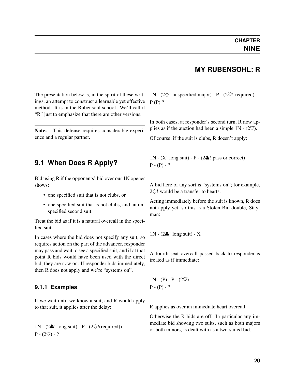#### **MY RUBENSOHL: R**

<span id="page-22-3"></span><span id="page-22-0"></span>The presentation below is, in the spirit of these writings, an attempt to construct a learnable yet effective method. It is in the Rubensohl school. We'll call it "R" just to emphasize that there are other versions.

Note: This defense requires considerable experience and a regular partner.

#### <span id="page-22-1"></span>**9.1 When Does R Apply?**

Bid using R if the opponents' bid over our 1N opener shows:

- one specified suit that is not clubs, or
- one specified suit that is not clubs, and an unspecified second suit.

Treat the bid as if it is a natural overcall in the specified suit.

In cases where the bid does not specify any suit, so requires action on the part of the advancer, responder may pass and wait to see a specified suit, and if at that point R bids would have been used with the direct bid, they are now on. If responder bids immediately, then R does not apply and we're "systems on".

#### <span id="page-22-2"></span>**9.1.1 Examples**

If we wait until we know a suit, and R would apply to that suit, it applies after the delay:

1N - (2 $\clubsuit$ ! long suit) - P - (2 $\diamondsuit$ !(required))  $P - (2\heartsuit) - ?$ 

1N - (2 $\diamond$ ! unspecified major) - P - (2 $\heartsuit$ ! required)  $P(P)$ ?

In both cases, at responder's second turn, R now applies as if the auction had been a simple  $1N - (2\heartsuit)$ .

Of course, if the suit is clubs, R doesn't apply:

 $1N - (X! \text{ long suit}) - P - (2 \cdot \cdot \cdot)$  pass or correct)  $P - (P) - ?$ 

A bid here of any sort is "systems on"; for example, 2  $\Diamond$ ! would be a transfer to hearts.

Acting immediately before the suit is known, R does not apply yet, so this is a Stolen Bid double, Stayman:

 $1N - (2\clubsuit)!$  long suit) - X

A fourth seat overcall passed back to responder is treated as if immediate:

 $1N - (P) - P - (2\heartsuit)$  $P - (P) - ?$ 

R applies as over an immediate heart overcall

Otherwise the R bids are off. In particular any immediate bid showing two suits, such as both majors or both minors, is dealt with as a two-suited bid.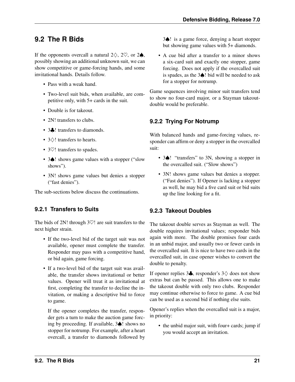## <span id="page-23-0"></span>**9.2 The R Bids**

If the opponents overcall a natural  $2\diamondsuit$ ,  $2\heartsuit$ , or  $2\spadesuit$ , possibly showing an additional unknown suit, we can show competitive or game-forcing hands, and some invitational hands. Details follow.

- Pass with a weak hand.
- Two-level suit bids, when available, are competitive only, with 5+ cards in the suit.
- Double is for takeout.
- 2N! transfers to clubs.
- 3**.** transfers to diamonds.
- 3♢! transfers to hearts.
- 3 $\heartsuit$ ! transfers to spades.
- 3 $\triangle$ ! shows game values with a stopper ("slow" shows").
- 3N! shows game values but denies a stopper ("fast denies").

The sub-sections below discuss the continuations.

#### <span id="page-23-1"></span>**9.2.1 Transfers to Suits**

The bids of 2N! through  $3\heartsuit!$  are suit transfers to the next higher strain.

- If the two-level bid of the target suit was not available, opener must complete the transfer. Responder may pass with a competitive hand, or bid again, game forcing.
- If a two-level bid of the target suit was available, the transfer shows invitational or better values. Opener will treat it as invitational at first, completing the transfer to decline the invitation, or making a descriptive bid to force to game.

If the opener completes the transfer, responder gets a turn to make the auction game forcing by proceeding. If available, 3♠! shows no stopper for notrump. For example, after a heart overcall, a transfer to diamonds followed by 3♠! is a game force, denying a heart stopper but showing game values with 5+ diamonds.

• A cue bid after a transfer to a minor shows a six-card suit and exactly one stopper, game forcing. Does not apply if the overcalled suit is spades, as the 3♠! bid will be needed to ask for a stopper for notrump.

Game sequences involving minor suit transfers tend to show no four-card major, or a Stayman takeoutdouble would be preferable.

#### <span id="page-23-2"></span>**9.2.2 Trying For Notrump**

With balanced hands and game-forcing values, responder can affirm or deny a stopper in the overcalled suit:

- 3♠! "transfers" to 3N, showing a stopper in the overcalled suit. ("Slow shows")
- 3N! shows game values but denies a stopper. ("Fast denies"). If Opener is lacking a stopper as well, he may bid a five card suit or bid suits up the line looking for a fit.

#### <span id="page-23-3"></span>**9.2.3 Takeout Doubles**

The takeout double serves as Stayman as well. The double requires invitational values; responder bids again with more. The double promises four cards in an unbid major, and usually two or fewer cards in the overcalled suit. It is nice to have two cards in the overcalled suit, in case opener wishes to convert the double to penalty.

If opener replies 3♣, responder's 3♢ does not show extras but can be passed. This allows one to make the takeout double with only two clubs. Responder may continue otherwise to force to game. A cue bid can be used as a second bid if nothing else suits.

Opener's replies when the overcalled suit is a major, in priority:

• the unbid major suit, with four+ cards; jump if you would accept an invitation.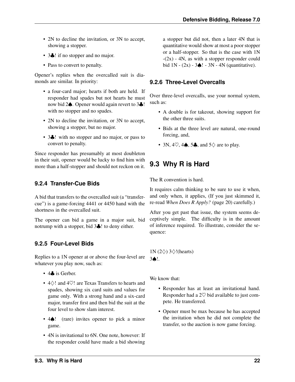- 2N to decline the invitation, or 3N to accept, showing a stopper.
- 3. I if no stopper and no major.
- Pass to convert to penalty.

Opener's replies when the overcalled suit is diamonds are similar. In priority:

- a four-card major; hearts if both are held. If responder had spades but not hearts he must now bid 2♠. Opener would again revert to 3♣! with no stopper and no spades.
- 2N to decline the invitation, or 3N to accept, showing a stopper, but no major.
- 3. *Well* with no stopper and no major, or pass to convert to penalty.

Since responder has presumably at most doubleton in their suit, opener would be lucky to find him with more than a half-stopper and should not reckon on it.

#### <span id="page-24-0"></span>**9.2.4 Transfer-Cue Bids**

A bid that transfers to the overcalled suit (a "transfercue") is a game-forcing 4441 or 4450 hand with the shortness in the overcalled suit.

The opener can bid a game in a major suit, bid notrump with a stopper, bid 3♣! to deny either.

#### <span id="page-24-1"></span>**9.2.5 Four-Level Bids**

Replies to a 1N opener at or above the four-level are whatever you play now, such as:

- 4**.** is Gerber.
- 4♢! and 4♡! are Texas Transfers to hearts and spades, showing six card suits and values for game only. With a strong hand and a six-card major, transfer first and then bid the suit at the four level to show slam interest.
- 4♠! (rare) invites opener to pick a minor game.
- 4N is invitational to 6N. One note, however: If the responder could have made a bid showing

a stopper but did not, then a later 4N that is quantitative would show at most a poor stopper or a half-stopper. So that is the case with 1N  $-(2x)$  - 4N, as with a stopper responder could bid  $1N - (2x) - 3$  $\triangle$ ! - 3N - 4N (quantitative).

#### <span id="page-24-2"></span>**9.2.6 Three-Level Overcalls**

Over three-level overcalls, use your normal system, such as:

- A double is for takeout, showing support for the other three suits.
- Bids at the three level are natural, one-round forcing, and,
- 3N, 4 $\heartsuit$ , 4 $\spadesuit$ , 5 $\clubsuit$ , and 5 $\diamondsuit$  are to play.

## <span id="page-24-3"></span>**9.3 Why R is Hard**

The R convention is hard.

It requires calm thinking to be sure to use it when, and only when, it applies, (If you just skimmed it, re-read *[When Does R Apply?](#page-22-1)* (page 20) carefully.)

After you get past that issue, the system seems deceptively simple. The difficulty is in the amount of inference required. To illustrate, consider the sequence:

#### 1N (2♢) 3♢!(hearts) 3♠!.

We know that:

- Responder has at least an invitational hand. Responder had a  $2\heartsuit$  bid available to just compete. He transferred.
- Opener must be max because he has accepted the invitation when he did not complete the transfer, so the auction is now game forcing.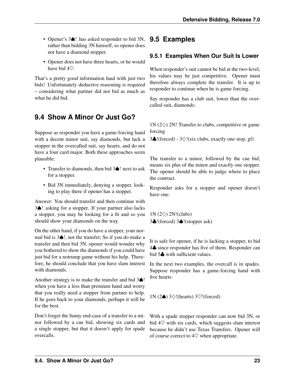- Opener's 3♠! has asked responder to bid 3N, **9.5 Examples** rather than bidding 3N himself, so opener does not have a diamond stopper.
- Opener does not have three hearts, or he would have bid 4♡.

That's a pretty good information haul with just two bids! Unfortunately deductive reasoning is required – considering what partner did not bid as much as what he did bid.

## <span id="page-25-0"></span>**9.4 Show A Minor Or Just Go?**

Suppose as responder you have a game-forcing hand with a decent minor suit, say diamonds, but lack a stopper in the overcalled suit, say hearts, and do not have a four card major. Both these approaches seem plausible:

- Transfer to diamonds, then bid 3♠! next to ask for a stopper.
- Bid 3N immediately, denying a stopper, looking to play there if opener has a stopper.

Answer: You should transfer and then continue with 3♠! asking for a stopper. If your partner also lacks a stopper, you may be looking for a fit and so you should show your diamonds on the way.

On the other hand, if you do have a stopper, your normal bid is 3♠!, not the transfer; So if you do make a transfer and then bid 3N, opener would wonder why you bothered to show the diamonds if you could have just bid for a notrump game without his help. Therefore, he should conclude that you have slam interest with diamonds.

Another strategy is to make the transfer and bid 3♠! when you have a less than premium hand and worry that you really need a stopper from partner to help. If he goes back to your diamonds, perhaps it will be for the best.

Don't forget the funny end-case of a transfer to a minor followed by a cue bid, showing six cards and a single stopper, but that it doesn't apply for spade overcalls.

#### <span id="page-25-2"></span><span id="page-25-1"></span>**9.5.1 Examples When Our Suit Is Lower**

When responder's suit cannot be bid at the two-level, his values may be just competitive. Opener must therefore always complete the transfer. It is up to responder to continue when he is game forcing.

Say responder has a club suit, lower than the overcalled suit, diamonds:

 $1N$  (2 $\diamond$ ) 2N! Transfer to clubs, competitive or game forcing

3.  $!(forced) - 3 \diamondsuit !(six clubs, exactly one stop, gf)$ 

The transfer to a minor, followed by the cue bid, means six plus of the minor and exactly one stopper. The opener should be able to judge where to place the contract.

Responder asks for a stopper and opener doesn't have one:

 $1N$  (2 $\diamond$ ) 2N!(clubs) 3♣!(forced) 3♠!(stopper ask)

It is safe for opener, if he is lacking a stopper, to bid 4♣ since responder has five of them. Responder can bid 5<sup>%</sup> with sufficient values.

In the next two examples, the overcall is in spades. Suppose responder has a game-forcing hand with five hearts:

1N (2♠) 3♢!(hearts) 3♡!(forced)

With a spade stopper responder can now bid 3N, or bid  $4\heartsuit$  with six cards, which suggests slam interest because he didn't use Texas Transfers. Opener will of course correct to  $4\heartsuit$  when appropriate.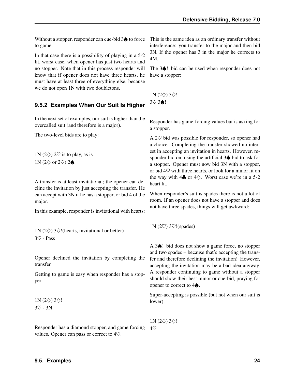Without a stopper, responder can cue-bid 3♠ to force to game.

In that case there is a possibility of playing in a 5-2 fit, worst case, when opener has just two hearts and no stopper. Note that in this process responder will know that if opener does not have three hearts, he must have at least three of everything else, because we do not open 1N with two doubletons.

#### <span id="page-26-0"></span>**9.5.2 Examples When Our Suit Is Higher**

In the next set of examples, our suit is higher than the overcalled suit (and therefore is a major).

The two-level bids are to play:

1N (2 $\diamond$ ) 2 $\heartsuit$  is to play, as is 1N (2 $\diamond$  or 2 $\heartsuit$ ) 2 $\spadesuit$ .

A transfer is at least invitational; the opener can decline the invitation by just accepting the transfer. He can accept with 3N if he has a stopper, or bid 4 of the major.

In this example, responder is invitational with hearts:

1N (2 $\diamondsuit$ ) 3 $\diamondsuit$ !(hearts, invitational or better) 3♡ - Pass

Opener declined the invitation by completing the transfer.

Getting to game is easy when responder has a stopper:

1N  $(2\diamond)$  3 $\diamond$ ! 3♡ - 3N

Responder has a diamond stopper, and game forcing  $4\heartsuit$ values. Opener can pass or correct to 4♡.

This is the same idea as an ordinary transfer without interference: you transfer to the major and then bid 3N. If the opener has 3 in the major he corrects to 4M.

The 3♠! bid can be used when responder does not have a stopper:

 $1N (2\diamondsuit) 3\diamondsuit!$ 3♡ 3♠!

Responder has game-forcing values but is asking for a stopper.

A 2♡ bid was possible for responder, so opener had a choice. Completing the transfer showed no interest in accepting an invitation in hearts. However, responder bid on, using the artificial 3♠ bid to ask for a stopper. Opener must now bid 3N with a stopper, or bid  $4\heartsuit$  with three hearts, or look for a minor fit on the way with 4 $\clubsuit$  or 4 $\diamond$ . Worst case we're in a 5-2 heart fit.

When responder's suit is spades there is not a lot of room. If an opener does not have a stopper and does not have three spades, things will get awkward:

1N (2♡) 3♡!(spades)

A 3♠! bid does not show a game force, no stopper and two spades – because that's accepting the transfer and therefore declining the invitation! However, accepting the invitation may be a bad idea anyway. A responder continuing to game without a stopper should show their best minor or cue-bid, praying for opener to correct to 4♠.

Super-accepting is possible (but not when our suit is lower):

1N (2 $\diamond$ ) 3 $\diamond$ !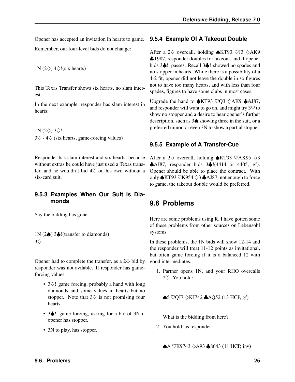Opener has accepted an invitation in hearts to game. Remember, our four-level bids do not change:

1N (2 $\diamond$ ) 4 $\diamond$ !(six hearts)

This Texas Transfer shows six hearts, no slam interest.

In the next example, responder has slam interest in hearts:

1N  $(2\diamond)$  3 $\diamond$ !  $3\heartsuit$  -  $4\heartsuit$  (six hearts, game-forcing values)

Responder has slam interest and six hearts, because without extras he could have just used a Texas transfer, and he wouldn't bid  $4\heartsuit$  on his own without a six-card suit.

#### <span id="page-27-0"></span>**9.5.3 Examples When Our Suit Is Diamonds**

Say the bidding has gone:

1N (2♠) 3♣!(transfer to diamonds) 3♢

Opener had to complete the transfer, as a  $2\diamondsuit$  bid by responder was not avilable. If responder has gameforcing values,

- 3 $\heartsuit$ ! game forcing, probably a hand with long diamonds and some values in hearts but no stopper. Note that  $3\heartsuit$  is not promising four hearts.
- 3♠! game forcing, asking for a bid of 3N if opener has stopper.
- 3N to play, has stopper.

#### <span id="page-27-1"></span>**9.5.4 Example Of A Takeout Double**

After a 2 $\heartsuit$  overcall, holding  $\triangle$ KT93  $\heartsuit$ J3  $\diamondsuit$ AK9 ♣T987, responder doubles for takeout, and if opener bids 3♣!, passes. Recall 3♣! showed no spades and no stopper in hearts. While there is a possibility of a 4-2 fit, opener did not leave the double in so figures not to have too many hearts, and with less than four spades, figures to have some clubs in most cases.

Upgrade the hand to  $\triangle K$ T93  $\heartsuit$ Q3  $\triangle A K9$   $\triangle A$ J87, and responder will want to go on, and might try  $3\heartsuit$  to show no stopper and a desire to hear opener's further description, such as 3♠ showing three in the suit, or a preferred minor, or even 3N to show a partial stopper.

#### <span id="page-27-2"></span>**9.5.5 Example of A Transfer-Cue**

After a 2 $\diamond$  overcall, holding  $\triangle$ KT93  $\heartsuit$ AK95  $\diamondsuit$ 3 ♣AJ87, responder bids 3♣!(4414 or 4405, gf). Opener should be able to place the contract. With only ♠KT93 ♡K954 ♢3 ♣AJ87, not enough to force to game, the takeout double would be preferred.

## <span id="page-27-3"></span>**9.6 Problems**

Here are some problems using R. I have gotten some of these problems from other sources on Lebensohl systems.

In these problems, the 1N bids will show 12-14 and the responder will treat 11-12 points as invitational, but often game forcing if it is a balanced 12 with good intermediates.

1. Partner opens 1N, and your RHO overcalls 2♡. You hold:

♠5 ♡QJ7 ♢KJ742 ♣AQ52 (13 HCP, gf)

What is the bidding from here?

2. You hold, as responder:

 $\bigwedge$ A ♡K9743  $\lozenge$ A93  $\bigwedge$ 8643 (11 HCP, inv)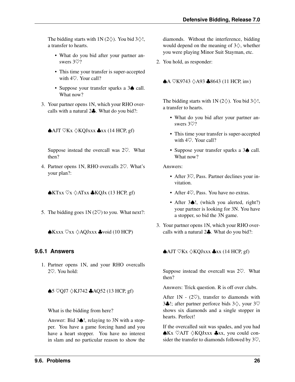The bidding starts with 1N (2 $\diamondsuit$ ). You bid 3 $\diamondsuit$ !, a transfer to hearts.

- What do you bid after your partner answers 3♡?
- This time your transfer is super-accepted with 4♡. Your call?
- Suppose your transfer sparks a 3 $\spadesuit$  call. What now?
- 3. Your partner opens 1N, which your RHO overcalls with a natural 2♣. What do you bid?:

#### $\bigwedge$ AJT ♡Kx  $\lozenge$ KQJxxx  $\bigwedge$ xx (14 HCP, gf)

Suppose instead the overcall was 2♡. What then?

4. Partner opens 1N, RHO overcalls 2♡. What's your plan?:

 $\triangle$ KTxx  $\heartsuit$ x  $\triangle$ ATxx  $\triangle$ KQJx (13 HCP, gf)

5. The bidding goes  $1N(2\heartsuit)$  to you. What next?:

♠Kxxx ♡xx ♢AQJxxx ♣void (10 HCP)

#### <span id="page-28-0"></span>**9.6.1 Answers**

1. Partner opens 1N, and your RHO overcalls 2♡. You hold:

♠5 ♡QJ7 ♢KJ742 ♣AQ52 (13 HCP, gf)

What is the bidding from here?

Answer: Bid 3♠!, relaying to 3N with a stopper. You have a game forcing hand and you have a heart stopper. You have no interest in slam and no particular reason to show the diamonds. Without the interference, bidding would depend on the meaning of  $3\diamondsuit$ , whether you were playing Minor Suit Stayman, etc.

2. You hold, as responder:

 $\bigwedge$ A ♡K9743  $\lozenge$ A93  $\bigwedge$ 8643 (11 HCP, inv)

The bidding starts with 1N (2 $\diamondsuit$ ). You bid 3 $\diamondsuit$ !, a transfer to hearts.

- What do you bid after your partner answers 3♡?
- This time your transfer is super-accepted with 4♡. Your call?
- Suppose your transfer sparks a 3 $\spadesuit$  call. What now?

Answers:

- After 3 $\heartsuit$ , Pass. Partner declines your invitation.
- After 4 $\heartsuit$ . Pass. You have no extras.
- After 3 $\triangle$ !, (which you alerted, right?) your partner is looking for 3N. You have a stopper, so bid the 3N game.
- 3. Your partner opens 1N, which your RHO overcalls with a natural 2♣. What do you bid?:

 $\bigwedge$ AJT ♡Kx  $\lozenge$ KQJxxx  $\bigwedge$ xx (14 HCP, gf)

Suppose instead the overcall was  $2\heartsuit$ . What then?

Answers: Trick question. R is off over clubs.

After  $1N - (2\%)$ , transfer to diamonds with 3♣!; after partner perforce bids 3♢, your 3♡ shows six diamonds and a single stopper in hearts. Perfect!

If the overcalled suit was spades, and you had ♠Kx ♡AJT ♢KQJxxx ♣xx, you could consider the transfer to diamonds followed by  $3\heartsuit$ ,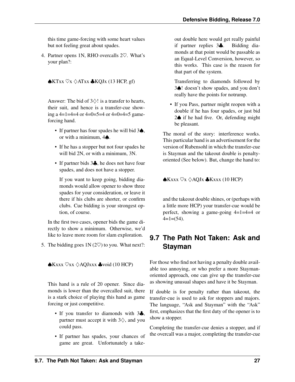this time game-forcing with some heart values but not feeling great about spades.

4. Partner opens 1N, RHO overcalls 2♡. What's your plan?:

 $\triangle$ KTxx  $\heartsuit$ x  $\triangle$ ATxx  $\triangle$ KQJx (13 HCP, gf)

Answer: The bid of  $3\diamondsuit!$  is a transfer to hearts, their suit, and hence is a transfer-cue showing a  $4=1=4=4$  or  $4=0=5=4$  or  $4=0=4=5$  gameforcing hand.

- If partner has four spades he will bid 3♠, or with a minimum, 4♠.
- If he has a stopper but not four spades he will bid 2N, or with a minimum, 3N.
- If partner bids 3. he does not have four spades, and does not have a stopper.

If you want to keep going, bidding diamonds would allow opener to show three spades for your consideration, or leave it there if his clubs are shorter, or confirm clubs. Cue bidding is your strongest option, of course.

In the first two cases, opener bids the game directly to show a minimum. Otherwise, we'd like to leave more room for slam exploration.

5. The bidding goes  $1N(2\heartsuit)$  to you. What next?:

♠Kxxx ♡xx ♢AQJxxx ♣void (10 HCP)

This hand is a rule of 20 opener. Since diamonds is lower than the overcalled suit, there is a stark choice of playing this hand as game forcing or just competitive.

- If you transfer to diamonds with 34. partner must accept it with  $3\diamondsuit$ , and you could pass.
- If partner has spades, your chances of game are great. Unfortunately a take-

out double here would get really painful if partner replies 3♣. Bidding diamonds at that point would be passable as an Equal-Level Conversion, however, so this works. This case is the reason for that part of the system.

Transferring to diamonds followed by 3♠! doesn't show spades, and you don't really have the points for notrump.

• If you Pass, partner might reopen with a double if he has four spades, or just bid 2♠ if he had five. Or, defending might be pleasant.

The moral of the story: interference works. This particular hand is an advertisement for the version of Rubensohl in which the transfer-cue is Stayman and the takeout double is penaltyoriented (See below). But, change the hand to:

 $\triangle$ Kxxx  $\heartsuit$ x  $\diamondsuit$ AQJx  $\triangle$ Kxxx (10 HCP)

and the takeout double shines, or (perhaps with a little more HCP) your transfer-cue would be perfect, showing a game-going 4=1=4=4 or  $4=1=(54)$ .

## <span id="page-29-0"></span>**9.7 The Path Not Taken: Ask and Stayman**

For those who find not having a penalty double available too annoying, or who prefer a more Staymanoriented approach, one can give up the transfer-cue as showing unusual shapes and have it be Stayman.

If double is for penalty rather than takeout, the transfer-cue is used to ask for stoppers and majors. The language, "Ask and Stayman" with the "Ask" first, emphasizes that the first duty of the opener is to show a stopper.

Completing the transfer-cue denies a stopper, and if the overcall was a major, completing the transfer-cue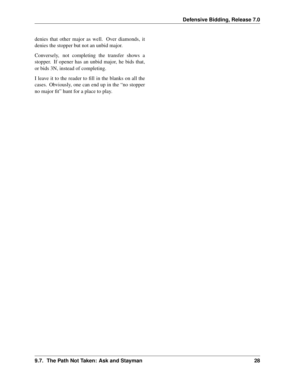denies that other major as well. Over diamonds, it denies the stopper but not an unbid major.

Conversely, not completing the transfer shows a stopper. If opener has an unbid major, he bids that, or bids 3N, instead of completing.

I leave it to the reader to fill in the blanks on all the cases. Obviously, one can end up in the "no stopper no major fit" hunt for a place to play.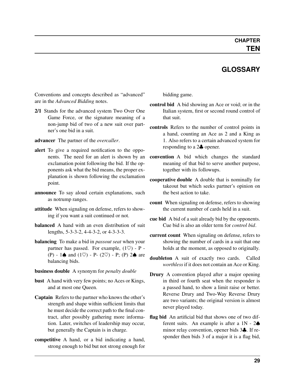#### **GLOSSARY**

<span id="page-31-5"></span><span id="page-31-0"></span>Conventions and concepts described as "advanced" are in the *Advanced Bidding* notes.

2/1 Stands for the advanced system Two Over One Game Force, or the signature meaning of a non-jump bid of two of a new suit over partner's one bid in a suit.

<span id="page-31-2"></span>advancer The partner of the *[overcaller](#page-32-1)*.

- alert To give a required notification to the opponents. The need for an alert is shown by an exclamation point following the bid. If the opponents ask what the bid means, the proper explanation is shown following the exclamation point.
- announce To say aloud certain explanations, such as notrump ranges.
- attitude When signaling on defense, refers to showing if you want a suit continued or not.
- **balanced** A hand with an even distribution of suit lengths, 5-3-3-2, 4-4-3-2, or 4-3-3-3.
- <span id="page-31-3"></span>balancing To make a bid in *[passout seat](#page-32-2)* when your partner has passed. For example,  $(1 \heartsuit)$  - P -(P) - 1 $\spadesuit$  and (1 $\heartsuit$ ) - P- (2 $\heartsuit$ ) - P; (P) 2 $\spadesuit$  are balancing bids.

#### business double A synonym for *[penalty double](#page-32-3)*

- <span id="page-31-4"></span>bust A hand with very few points; no Aces or Kings, and at most one Queen.
- Captain Refers to the partner who knows the other's strength and shape within sufficient limits that he must decide the correct path to the final contract, after possibly gathering more information. Later, switches of leadership may occur, but generally the Captain is in charge.
- competitive A hand, or a bid indicating a hand, strong enough to bid but not strong enough for

<span id="page-31-1"></span>bidding game.

- control bid A bid showing an Ace or void; or in the Italian system, first or second round control of that suit.
- controls Refers to the number of control points in a hand, counting an Ace as 2 and a King as 1. Also refers to a certain advanced system for responding to a 2♣ opener.
- convention A bid which changes the standard meaning of that bid to serve another purpose, together with its followups.
- cooperative double A double that is nominally for takeout but which seeks partner's opinion on the best action to take.
- count When signaling on defense, refers to showing the current number of cards held in a suit.
- cue bid A bid of a suit already bid by the opponents. Cue bid is also an older term for *[control bid](#page-31-1)*.
- current count When signaling on defense, refers to showing the number of cards in a suit that one holds at the moment, as opposed to originally.
- doubleton A suit of exactly two cards. Called *worthless* if it does not contain an Ace or King.
- Drury A convention played after a major opening in third or fourth seat when the responder is a passed hand, to show a limit raise or better. Reverse Drury and Two-Way Reverse Drury are two variants; the original version is almost never played today.
- flag bid An artificial bid that shows one of two different suits. An example is after a  $1N - 2\spadesuit$ minor relay convention, opener bids 3♣. If responder then bids 3 of a major it is a flag bid,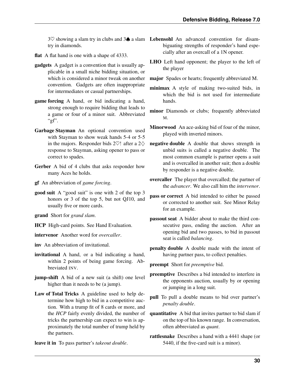try in diamonds.

- flat A flat hand is one with a shape of 4333.
- <span id="page-32-0"></span>gadgets A gadget is a convention that is usually applicable in a small niche bidding situation, or which is considered a minor tweak on another convention. Gadgets are often inappropriate for intermediates or casual partnerships.
- <span id="page-32-4"></span>game forcing A hand, or bid indicating a hand, strong enough to require bidding that leads to a game or four of a minor suit. Abbreviated " $gf$ ".
- Garbage Stayman An optional convention used with Stayman to show weak hands 5-4 or 5-5 in the majors. Responder bids 2 $\heartsuit$ ! after a 2 $\diamondsuit$ response to Stayman, asking opener to pass or correct to spades.
- Gerber A bid of 4 clubs that asks responder how many Aces he holds.
- <span id="page-32-1"></span>gf An abbreviation of *[game forcing](#page-32-4)*.
- good suit A "good suit" is one with 2 of the top 3 honors or 3 of the top 5, but not QJ10, and usually five or more cards.
- <span id="page-32-2"></span>grand Short for *grand slam*.
- <span id="page-32-5"></span>HCP High-card points. See Hand Evaluation.
- <span id="page-32-6"></span>intervenor Another word for *[overcaller](#page-32-1)*.

<span id="page-32-3"></span>inv An abbreviation of invitational.

- invitational A hand, or a bid indicating a hand, within 2 points of being game forcing. Abbreviated INV.
- <span id="page-32-7"></span>jump-shift A bid of a new suit (a shift) one level higher than it needs to be (a jump).
- Law of Total Tricks A guideline used to help determine how high to bid in a competitive auction. With a trump fit of 8 cards or more, and the *[HCP](#page-32-5)* fairly evenly divided, the number of tricks the partnership can expect to win is approximately the total number of trump held by the partners.
- leave it in To pass partner's *[takeout double](#page-33-0)*.
- <span id="page-32-9"></span><span id="page-32-8"></span> $3\heartsuit$  showing a slam try in clubs and  $3\spadesuit$  a slam Lebensohl An advanced convention for disambiguating strengths of responder's hand especially after an overcall of a 1N opener.
	- LHO Left hand opponent; the player to the left of the player
	- major Spades or hearts; frequently abbreviated M.
	- minimax A style of making two-suited bids, in which the bid is not used for intermediate hands.
	- minor Diamonds or clubs; frequently abbreviated M.
	- Minorwood An ace-asking bid of four of the minor, played with inverted minors.
	- negative double A double that shows strength in unbid suits is called a negative double. The most common example is partner opens a suit and is overcalled in another suit; then a double by responder is a negative double.
	- overcaller The player that overcalled; the partner of the *[advancer](#page-31-2)*. We also call him the *[intervenor](#page-32-6)*.
	- pass or correct A bid intended to either be passed or corrected to another suit. See Minor Relay for an example.
	- passout seat A bidder about to make the third consecutive pass, ending the auction. After an opening bid and two passes, to bid in passout seat is called *[balancing](#page-31-3)*.
	- penalty double A double made with the intent of having partner pass, to collect penalties.
	- preempt Short for *[preemptive](#page-32-7)* bid.
	- preemptive Describes a bid intended to interfere in the opponents auction, usually by or opening or jumping in a long suit.
	- pull To pull a double means to bid over partner's *[penalty double](#page-32-3)*.
	- quantitative A bid that invites partner to bid slam if on the top of his known range. In conversation, often abbreviated as *quant*.
	- rattlesnake Describes a hand with a 4441 shape (or 5440, if the five-card suit is a minor).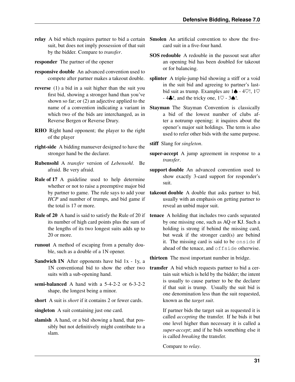suit, but does not imply possession of that suit by the bidder. Compare to *[transfer](#page-33-1)*.

responder The partner of the opener

- responsive double An advanced convention used to
- reverse (1) a bid in a suit higher than the suit you first bid, showing a stronger hand than you've shown so far; or (2) an adjective applied to the name of a convention indicating a variant in which two of the bids are interchanged, as in Reverse Bergen or Reverse Drury.
- RHO Right hand opponent; the player to the right of the player
- right-side A bidding manuever designed to have the stronger hand be the declarer.
- Rubensohl A *[transfer](#page-33-1)* version of *[Lebensohl](#page-32-8)*. Be afraid. Be very afraid.
- Rule of 17 A guideline used to help determine whether or not to raise a preemptive major bid by partner to game. The rule says to add your *[HCP](#page-32-5)* and number of trumps, and bid game if the total is 17 or more.
- Rule of 20 A hand is said to satisfy the Rule of 20 if its number of high card points plus the sum of the lengths of its two longest suits adds up to 20 or more.
- runout A method of escaping from a penalty double, such as a double of a 1N opener.
- Sandwich 1N After opponents have bid 1x 1y, a 1N conventional bid to show the other two suits with a sub-opening hand.
- semi-balanced A hand with a 5-4-2-2 or 6-3-2-2 shape, the longest being a minor.
- short A suit is *short* if it contains 2 or fewer cards.

<span id="page-33-2"></span>singleton A suit containing just one card.

slamish A hand, or a bid showing a hand, that possibly but not definitively might contribute to a slam.

- <span id="page-33-4"></span><span id="page-33-3"></span>relay A bid which requires partner to bid a certain Smolen An artificial convention to show the fivecard suit in a five-four hand.
	- SOS redouble A redouble in the passout seat after an opening bid has been doubled for takeout or for balancing.
	- compete after partner makes a takeout double. splinter A triple-jump bid showing a stiff or a void in the suit bid and agreeing to partner's lastbid suit as trump. Examples are  $1\spadesuit$  - 4 $\heartsuit$ !, 1 $\heartsuit$  $-4\clubsuit!$ , and the tricky one,  $1\heartsuit - 3\spadesuit!$ .
		- Stayman The Stayman Convention is classically a bid of the lowest number of clubs after a notrump opening; it inquires about the opener's major suit holdings. The term is also used to refer other bids with the same purpose.

stiff Slang for *[singleton](#page-33-2)*.

- super-accept A jump agreement in response to a *[transfer](#page-33-1)*.
- support double An advanced convention used to show exactly 3-card support for responder's suit.
- <span id="page-33-0"></span>takeout double A double that asks partner to bid, usually with an emphasis on getting partner to reveal an unbid major suit.
- tenace A holding that includes two cards separated by one missing one, such as AQ or KJ. Such a holding is strong if behind the missing card, but weak if the stronger card(s) are behind it. The missing card is said to be onside if ahead of the tenace, and offside otherwise.

thirteen The most important number in bridge.

<span id="page-33-1"></span>transfer A bid which requests partner to bid a certain suit which is held by the bidder; the intent is usually to cause partner to be the declarer if that suit is trump. Usually the suit bid is one denomination less than the suit requested, known as the *target suit*.

> If partner bids the target suit as requested it is called *accepting* the transfer. If he bids it but one level higher than necessary it is called a *super-accept*; and if he bids something else it is called *breaking* the transfer.

Compare to *[relay](#page-33-3)*.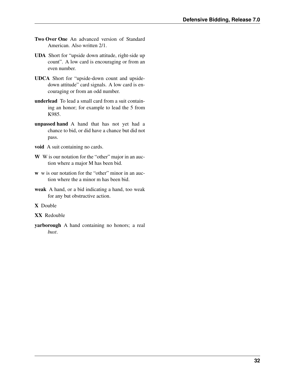- <span id="page-34-0"></span>Two Over One An advanced version of Standard American. Also written 2/1.
- UDA Short for "upside down attitude, right-side up count". A low card is encouraging or from an even number.
- UDCA Short for "upside-down count and upsidedown attitude" card signals. A low card is encouraging or from an odd number.
- underlead To lead a small card from a suit containing an honor; for example to lead the 5 from K985.
- unpassed hand A hand that has not yet had a chance to bid, or did have a chance but did not pass.
- void A suit containing no cards.
- W W is our notation for the "other" major in an auction where a major M has been bid.
- w w is our notation for the "other" minor in an auction where the a minor m has been bid.
- weak A hand, or a bid indicating a hand, too weak for any but obstructive action.

X Double

- XX Redouble
- yarborough A hand containing no honors; a real *[bust](#page-31-4)*.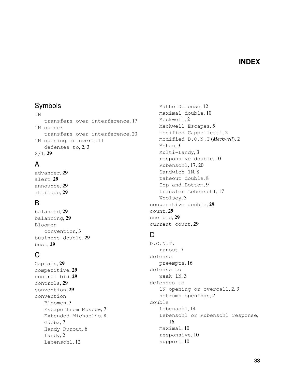#### **INDEX**

#### <span id="page-35-0"></span>Symbols

1N transfers over interference, [17](#page-19-2) 1N opener transfers over interference, [20](#page-22-3) 1N opening or overcall defenses to, [2,](#page-4-5) [3](#page-5-5)  $2/1, 29$  $2/1, 29$ 

## A

advancer, [29](#page-31-5) alert, [29](#page-31-5) announce, [29](#page-31-5) attitude, [29](#page-31-5)

#### B

balanced, [29](#page-31-5) balancing, [29](#page-31-5) Bloomen convention, [3](#page-5-5) business double, [29](#page-31-5) bust, [29](#page-31-5)

## C

Captain, [29](#page-31-5) competitive, [29](#page-31-5) control bid, [29](#page-31-5) controls, [29](#page-31-5) convention, [29](#page-31-5) convention Bloomen, [3](#page-5-5) Escape from Moscow, [7](#page-9-4) Extended Michael's, [8](#page-10-3) Guoba, [7](#page-9-4) Handy Runout, [6](#page-8-3) Landy, [2](#page-4-5) Lebensohl, [12](#page-14-4)

Mathe Defense, [12](#page-14-4) maximal double, [10](#page-12-4) Meckwell, [2](#page-4-5) Meckwell Escapes, [5](#page-7-4) modified Cappelletti, [2](#page-4-5) modified D.O.N.T (*Meckwell*), [2](#page-4-5) Mohan, [3](#page-5-5) Multi-Landy, [3](#page-5-5) responsive double, [10](#page-12-4) Rubensohl, [17,](#page-19-2) [20](#page-22-3) Sandwich 1N, [8](#page-10-3) takeout double, [8](#page-10-3) Top and Bottom, [9](#page-11-1) transfer Lebensohl, [17](#page-19-2) Woolsey, [3](#page-5-5) cooperative double, [29](#page-31-5) count, [29](#page-31-5) cue bid, [29](#page-31-5) current count, [29](#page-31-5)

#### D

D.O.N.T. runout, [7](#page-9-4) defense preempts, [16](#page-18-5) defense to weak 1N, [3](#page-5-5) defenses to 1N opening or overcall, [2,](#page-4-5) [3](#page-5-5) notrump openings, [2](#page-4-5) double Lebensohl, [14](#page-16-3) Lebensohl or Rubensohl response, [16](#page-18-5) maximal, [10](#page-12-4) responsive, [10](#page-12-4) support, [10](#page-12-4)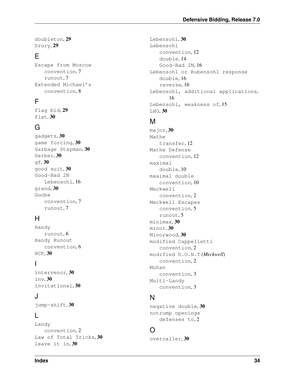doubleton, [29](#page-31-5) Drury, [29](#page-31-5)

## E

Escape from Moscow convention, [7](#page-9-4) runout, [7](#page-9-4) Extended Michael's convention, [8](#page-10-3)

## F

flag bid, [29](#page-31-5) flat, [30](#page-32-9)

#### G

gadgets, [30](#page-32-9) game forcing, [30](#page-32-9) Garbage Stayman, [30](#page-32-9) Gerber, [30](#page-32-9)  $qf, 30$  $qf, 30$ good suit, [30](#page-32-9) Good-Bad 2N Lebensohl, [16](#page-18-5) grand, [30](#page-32-9) Guoba convention, [7](#page-9-4) runout, [7](#page-9-4)

## H

Handy runout, [6](#page-8-3) Handy Runout convention, [6](#page-8-3) HCP, [30](#page-32-9)

#### I

intervenor, [30](#page-32-9) inv, [30](#page-32-9) invitational, [30](#page-32-9)

#### J

jump-shift, [30](#page-32-9)

#### L

Landy convention, [2](#page-4-5) Law of Total Tricks, [30](#page-32-9) leave it in, [30](#page-32-9)

Lebensohl, [30](#page-32-9) Lebensohl convention, [12](#page-14-4) double, [14](#page-16-3) Good-Bad 2N, [16](#page-18-5) Lebensohl or Rubensohl response double, [16](#page-18-5) reverse, [16](#page-18-5) Lebensohl, additional applications, [16](#page-18-5) Lebensohl, weakness of, [15](#page-17-3) LHO, [30](#page-32-9)

#### M

major, [30](#page-32-9) Mathe transfer, [12](#page-14-4) Mathe Defense convention, [12](#page-14-4) maximal double, [10](#page-12-4) maximal double convention, [10](#page-12-4) Meckwell convention, [2](#page-4-5) Meckwell Escapes convention, [5](#page-7-4) runout, [5](#page-7-4) minimax, [30](#page-32-9) minor, [30](#page-32-9) Minorwood, [30](#page-32-9) modified Cappelletti convention, [2](#page-4-5) modified D.O.N.T (*Meckwell*) convention, [2](#page-4-5) Mohan convention, [3](#page-5-5) Multi-Landy convention, [3](#page-5-5)

## N

negative double, [30](#page-32-9) notrump openings defenses to, [2](#page-4-5)

## O

overcaller, [30](#page-32-9)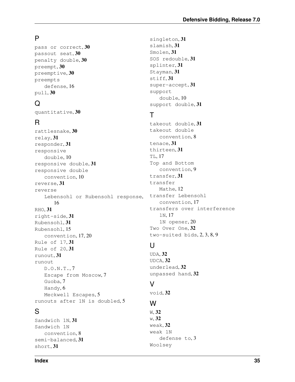### P

pass or correct, [30](#page-32-9) passout seat, [30](#page-32-9) penalty double, [30](#page-32-9) preempt, [30](#page-32-9) preemptive, [30](#page-32-9) preempts defense, [16](#page-18-5) pull, [30](#page-32-9)

## Q

quantitative, [30](#page-32-9)

## R

rattlesnake, [30](#page-32-9) relay, [31](#page-33-4) responder, [31](#page-33-4) responsive double, [10](#page-12-4) responsive double, [31](#page-33-4) responsive double convention, [10](#page-12-4) reverse, [31](#page-33-4) reverse Lebensohl or Rubensohl response, [16](#page-18-5) RHO, [31](#page-33-4) right-side, [31](#page-33-4) Rubensohl, [31](#page-33-4) Rubensohl, [15](#page-17-3) convention, [17,](#page-19-2) [20](#page-22-3) Rule of 17, [31](#page-33-4) Rule of 20, [31](#page-33-4) runout, [31](#page-33-4) runout D.O.N.T., [7](#page-9-4) Escape from Moscow, [7](#page-9-4) Guoba, [7](#page-9-4) Handy, [6](#page-8-3) Meckwell Escapes, [5](#page-7-4) runouts after 1N is doubled, [5](#page-7-4)

## S

Sandwich 1N, [31](#page-33-4) Sandwich 1N convention, [8](#page-10-3) semi-balanced, [31](#page-33-4) short, [31](#page-33-4)

singleton, [31](#page-33-4) slamish, [31](#page-33-4) Smolen, [31](#page-33-4) SOS redouble, [31](#page-33-4) splinter, [31](#page-33-4) Stayman, [31](#page-33-4) stiff, [31](#page-33-4) super-accept, [31](#page-33-4) support double, [10](#page-12-4) support double, [31](#page-33-4)

## T

takeout double, [31](#page-33-4) takeout double convention, [8](#page-10-3) tenace, [31](#page-33-4) thirteen, [31](#page-33-4) TL, [17](#page-19-2) Top and Bottom convention, [9](#page-11-1) transfer, [31](#page-33-4) transfer Mathe, [12](#page-14-4) transfer Lebensohl convention, [17](#page-19-2) transfers over interference 1N, [17](#page-19-2) 1N opener, [20](#page-22-3) Two Over One, [32](#page-34-0) two-suited bids, [2,](#page-4-5) [3,](#page-5-5) [8,](#page-10-3) [9](#page-11-1)

## $\cup$

UDA, [32](#page-34-0) UDCA, [32](#page-34-0) underlead, [32](#page-34-0) unpassed hand, [32](#page-34-0)

#### V

void, [32](#page-34-0)

#### W

W, [32](#page-34-0) w, [32](#page-34-0) weak, [32](#page-34-0) weak 1N defense to, [3](#page-5-5) Woolsey